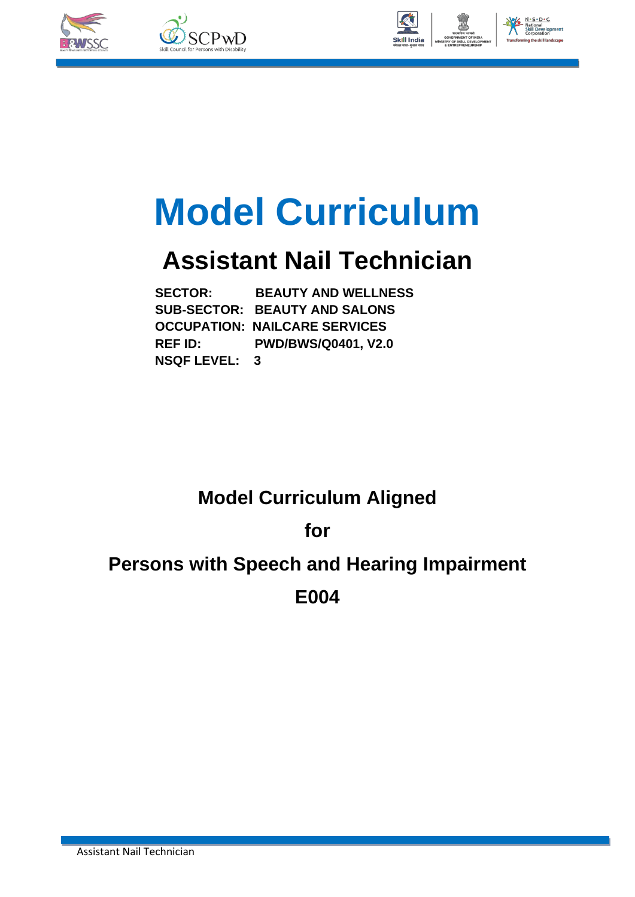







# **Model Curriculum**

## **Assistant Nail Technician**

 **SECTOR: BEAUTY AND WELLNESS SUB-SECTOR: BEAUTY AND SALONS OCCUPATION: NAILCARE SERVICES REF ID: PWD/BWS/Q0401, V2.0 NSQF LEVEL: 3**

### **Model Curriculum Aligned**

**for**

## **Persons with Speech and Hearing Impairment E004**

Assistant Nail Technician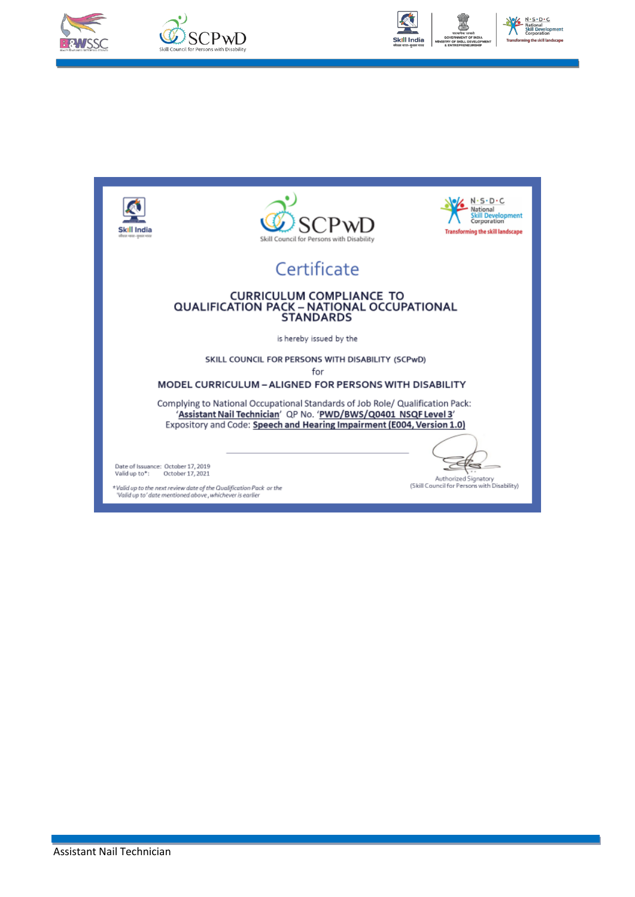





No No Solo Contract Contract Contract Contract Contract Contract Contract Contract Contract Contract Contract Contract Contract Contract Contract Contract Contract Contract Contract Contract Contract Contract Contract Cont in the skill land



\*Valid up to the next review date of the Qualification Pack or the<br>'Valid up to' date mentioned above , whichever is earlier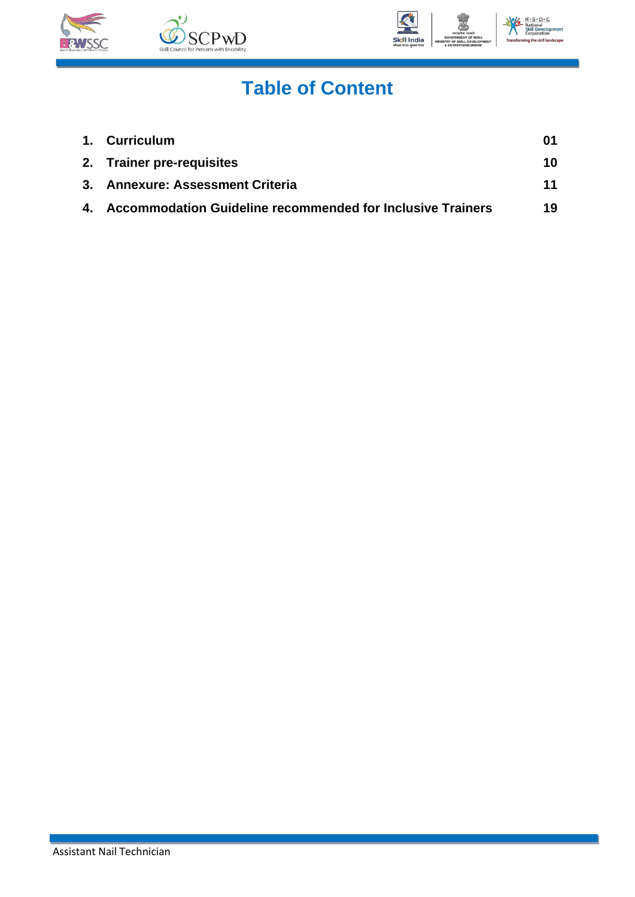





## **Table of Content**

| 1. Curriculum                                                 |    |
|---------------------------------------------------------------|----|
| 2. Trainer pre-requisites                                     | 10 |
| 3. Annexure: Assessment Criteria                              | 11 |
| 4. Accommodation Guideline recommended for Inclusive Trainers | 19 |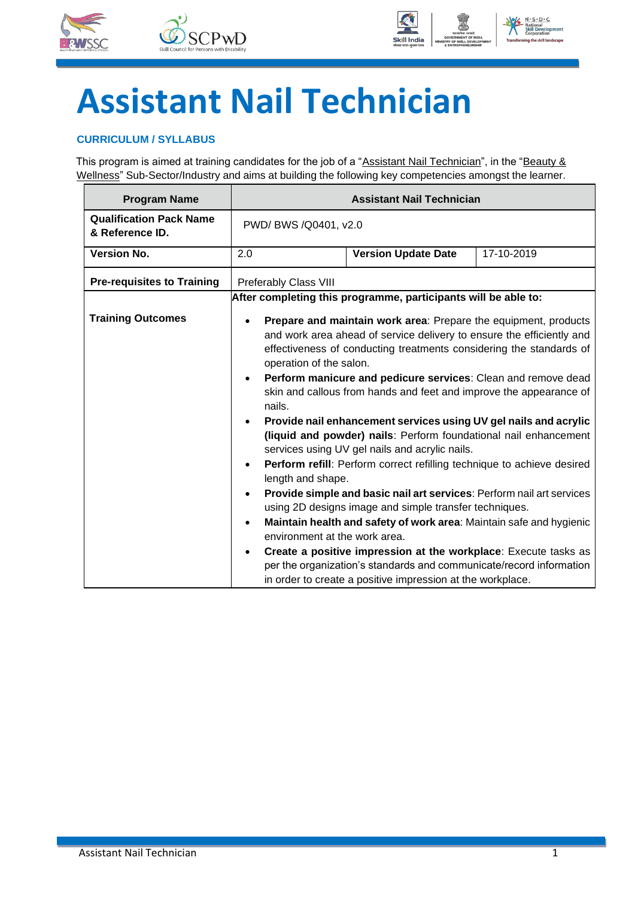





## **Assistant Nail Technician**

### <span id="page-3-0"></span>**CURRICULUM / SYLLABUS**

This program is aimed at training candidates for the job of a "Assistant Nail Technician", in the "Beauty & Wellness" Sub-Sector/Industry and aims at building the following key competencies amongst the learner.

| <b>Program Name</b>                               |                                                                                                                                             | <b>Assistant Nail Technician</b>                                                                                                                                                                                                                                                                                                                                                                                                                                                                                                                                                                                                                                                                                                                                                                                                                                                                                                                                                                                                             |  |  |  |
|---------------------------------------------------|---------------------------------------------------------------------------------------------------------------------------------------------|----------------------------------------------------------------------------------------------------------------------------------------------------------------------------------------------------------------------------------------------------------------------------------------------------------------------------------------------------------------------------------------------------------------------------------------------------------------------------------------------------------------------------------------------------------------------------------------------------------------------------------------------------------------------------------------------------------------------------------------------------------------------------------------------------------------------------------------------------------------------------------------------------------------------------------------------------------------------------------------------------------------------------------------------|--|--|--|
| <b>Qualification Pack Name</b><br>& Reference ID. |                                                                                                                                             | PWD/ BWS /Q0401, v2.0                                                                                                                                                                                                                                                                                                                                                                                                                                                                                                                                                                                                                                                                                                                                                                                                                                                                                                                                                                                                                        |  |  |  |
| <b>Version No.</b>                                | 2.0                                                                                                                                         | <b>Version Update Date</b><br>17-10-2019                                                                                                                                                                                                                                                                                                                                                                                                                                                                                                                                                                                                                                                                                                                                                                                                                                                                                                                                                                                                     |  |  |  |
| <b>Pre-requisites to Training</b>                 | Preferably Class VIII                                                                                                                       |                                                                                                                                                                                                                                                                                                                                                                                                                                                                                                                                                                                                                                                                                                                                                                                                                                                                                                                                                                                                                                              |  |  |  |
|                                                   |                                                                                                                                             | After completing this programme, participants will be able to:                                                                                                                                                                                                                                                                                                                                                                                                                                                                                                                                                                                                                                                                                                                                                                                                                                                                                                                                                                               |  |  |  |
| <b>Training Outcomes</b>                          | operation of the salon.<br>$\bullet$<br>nails.<br>$\bullet$<br>length and shape.<br>$\bullet$<br>$\bullet$<br>environment at the work area. | Prepare and maintain work area: Prepare the equipment, products<br>and work area ahead of service delivery to ensure the efficiently and<br>effectiveness of conducting treatments considering the standards of<br>Perform manicure and pedicure services: Clean and remove dead<br>skin and callous from hands and feet and improve the appearance of<br>Provide nail enhancement services using UV gel nails and acrylic<br>(liquid and powder) nails: Perform foundational nail enhancement<br>services using UV gel nails and acrylic nails.<br>Perform refill: Perform correct refilling technique to achieve desired<br>Provide simple and basic nail art services: Perform nail art services<br>using 2D designs image and simple transfer techniques.<br>Maintain health and safety of work area: Maintain safe and hygienic<br>Create a positive impression at the workplace: Execute tasks as<br>per the organization's standards and communicate/record information<br>in order to create a positive impression at the workplace. |  |  |  |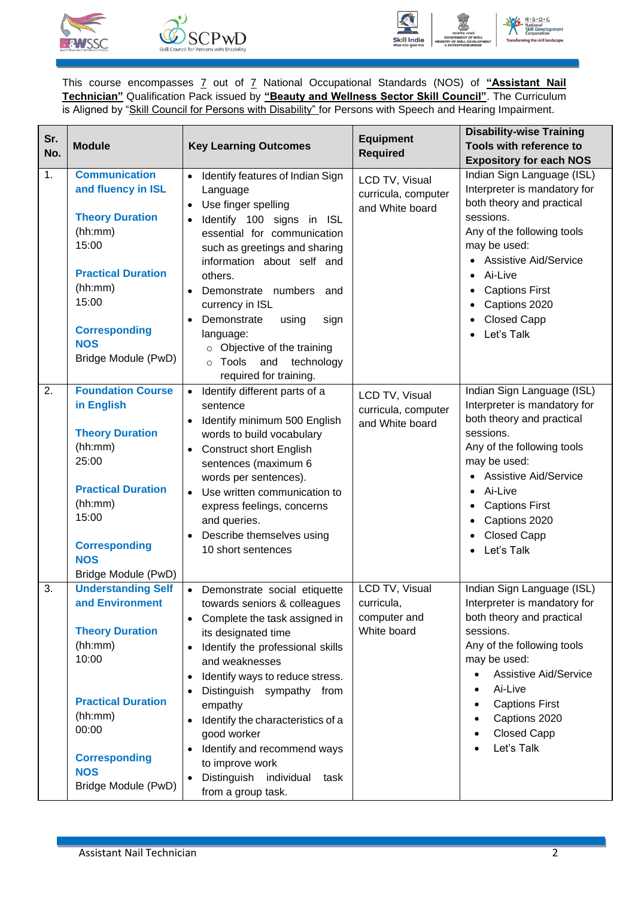





This course encompasses 7 out of 7 National Occupational Standards (NOS) of **"Assistant Nail Technician"** Qualification Pack issued by **"Beauty and Wellness Sector Skill Council"**. The Curriculum is Aligned by "Skill Council for Persons with Disability" for Persons with Speech and Hearing Impairment.

| Sr.<br>No. | <b>Module</b>                                                                                                                                                                                          | <b>Key Learning Outcomes</b>                                                                                                                                                                                                                                                                                                                                                                                                                                        | <b>Equipment</b><br><b>Required</b>                         | <b>Disability-wise Training</b><br>Tools with reference to<br><b>Expository for each NOS</b>                                                                                                                                                                                     |
|------------|--------------------------------------------------------------------------------------------------------------------------------------------------------------------------------------------------------|---------------------------------------------------------------------------------------------------------------------------------------------------------------------------------------------------------------------------------------------------------------------------------------------------------------------------------------------------------------------------------------------------------------------------------------------------------------------|-------------------------------------------------------------|----------------------------------------------------------------------------------------------------------------------------------------------------------------------------------------------------------------------------------------------------------------------------------|
| 1.         | <b>Communication</b><br>and fluency in ISL<br><b>Theory Duration</b><br>(hh:mm)<br>15:00<br><b>Practical Duration</b><br>(hh:mm)<br>15:00<br><b>Corresponding</b><br><b>NOS</b><br>Bridge Module (PwD) | Identify features of Indian Sign<br>$\bullet$<br>Language<br>Use finger spelling<br>$\bullet$<br>Identify 100 signs in ISL<br>$\bullet$<br>essential for communication<br>such as greetings and sharing<br>information about self and<br>others.<br>Demonstrate numbers<br>and<br>$\bullet$<br>currency in ISL<br>Demonstrate<br>using<br>sign<br>language:<br>$\circ$ Objective of the training<br>technology<br>Tools<br>and<br>$\circ$<br>required for training. | LCD TV, Visual<br>curricula, computer<br>and White board    | Indian Sign Language (ISL)<br>Interpreter is mandatory for<br>both theory and practical<br>sessions.<br>Any of the following tools<br>may be used:<br>• Assistive Aid/Service<br>Ai-Live<br><b>Captions First</b><br>Captions 2020<br><b>Closed Capp</b><br>Let's Talk           |
| 2.         | <b>Foundation Course</b><br>in English<br><b>Theory Duration</b><br>(hh:mm)<br>25:00<br><b>Practical Duration</b><br>(hh:mm)<br>15:00<br><b>Corresponding</b><br><b>NOS</b>                            | Identify different parts of a<br>$\bullet$<br>sentence<br>Identify minimum 500 English<br>words to build vocabulary<br><b>Construct short English</b><br>$\bullet$<br>sentences (maximum 6<br>words per sentences).<br>Use written communication to<br>express feelings, concerns<br>and queries.<br>Describe themselves using<br>10 short sentences                                                                                                                | LCD TV, Visual<br>curricula, computer<br>and White board    | Indian Sign Language (ISL)<br>Interpreter is mandatory for<br>both theory and practical<br>sessions.<br>Any of the following tools<br>may be used:<br>• Assistive Aid/Service<br>• Ai-Live<br><b>Captions First</b><br>Captions 2020<br>$\bullet$<br>• Closed Capp<br>Let's Talk |
| 3.         | Bridge Module (PwD)<br><b>Understanding Self</b><br>and Environment<br><b>Theory Duration</b><br>(hh:mm)<br>10:00                                                                                      | • Demonstrate social etiquette<br>towards seniors & colleagues<br>Complete the task assigned in<br>its designated time<br>Identify the professional skills<br>$\bullet$<br>and weaknesses<br>Identify ways to reduce stress.                                                                                                                                                                                                                                        | LCD TV, Visual<br>curricula,<br>computer and<br>White board | Indian Sign Language (ISL)<br>Interpreter is mandatory for<br>both theory and practical<br>sessions.<br>Any of the following tools<br>may be used:<br><b>Assistive Aid/Service</b><br>$\bullet$                                                                                  |
|            | <b>Practical Duration</b><br>(hh:mm)<br>00:00<br><b>Corresponding</b><br><b>NOS</b><br>Bridge Module (PwD)                                                                                             | Distinguish sympathy from<br>empathy<br>Identify the characteristics of a<br>good worker<br>Identify and recommend ways<br>$\bullet$<br>to improve work<br>Distinguish individual<br>task<br>from a group task.                                                                                                                                                                                                                                                     |                                                             | Ai-Live<br>$\bullet$<br><b>Captions First</b><br>Captions 2020<br>$\bullet$<br><b>Closed Capp</b><br>Let's Talk                                                                                                                                                                  |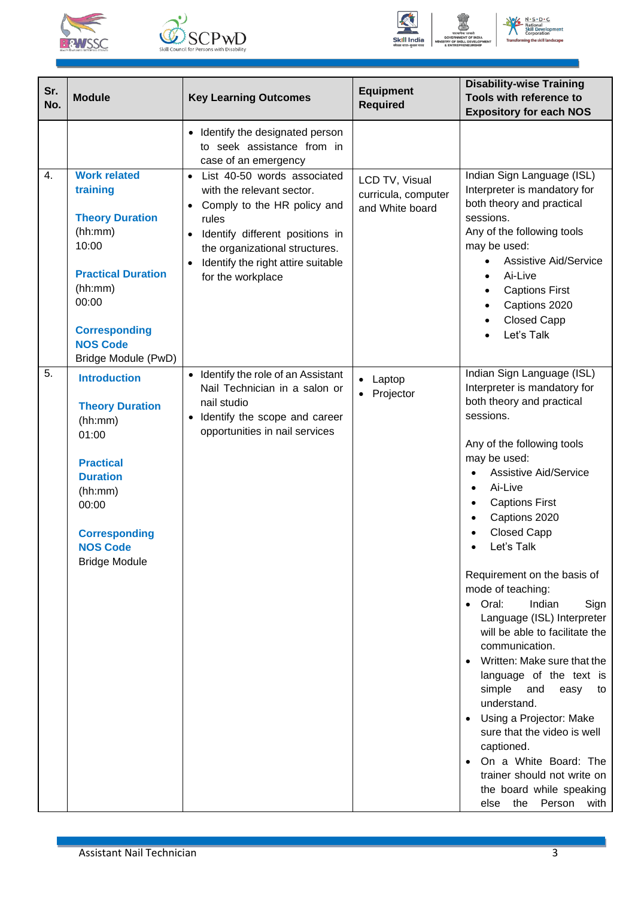





| Sr.<br>No. | <b>Module</b>                                                                                                                                                                                    | <b>Key Learning Outcomes</b>                                                                                                                                                                                                                               | <b>Equipment</b><br><b>Required</b>                      | <b>Disability-wise Training</b><br>Tools with reference to<br><b>Expository for each NOS</b>                                                                                                                                                                                                                                                                                                                                                                                                                                                                                                                                                                                                                                                                                         |
|------------|--------------------------------------------------------------------------------------------------------------------------------------------------------------------------------------------------|------------------------------------------------------------------------------------------------------------------------------------------------------------------------------------------------------------------------------------------------------------|----------------------------------------------------------|--------------------------------------------------------------------------------------------------------------------------------------------------------------------------------------------------------------------------------------------------------------------------------------------------------------------------------------------------------------------------------------------------------------------------------------------------------------------------------------------------------------------------------------------------------------------------------------------------------------------------------------------------------------------------------------------------------------------------------------------------------------------------------------|
|            |                                                                                                                                                                                                  | Identify the designated person<br>$\bullet$<br>to seek assistance from in<br>case of an emergency                                                                                                                                                          |                                                          |                                                                                                                                                                                                                                                                                                                                                                                                                                                                                                                                                                                                                                                                                                                                                                                      |
| 4.         | <b>Work related</b><br>training<br><b>Theory Duration</b><br>(hh:mm)<br>10:00<br><b>Practical Duration</b><br>(hh:mm)<br>00:00<br><b>Corresponding</b><br><b>NOS Code</b><br>Bridge Module (PwD) | List 40-50 words associated<br>$\bullet$<br>with the relevant sector.<br>Comply to the HR policy and<br>rules<br>Identify different positions in<br>$\bullet$<br>the organizational structures.<br>Identify the right attire suitable<br>for the workplace | LCD TV, Visual<br>curricula, computer<br>and White board | Indian Sign Language (ISL)<br>Interpreter is mandatory for<br>both theory and practical<br>sessions.<br>Any of the following tools<br>may be used:<br><b>Assistive Aid/Service</b><br>$\bullet$<br>Ai-Live<br>$\bullet$<br><b>Captions First</b><br>Captions 2020<br><b>Closed Capp</b><br>Let's Talk                                                                                                                                                                                                                                                                                                                                                                                                                                                                                |
| 5.         | <b>Introduction</b><br><b>Theory Duration</b><br>(hh:mm)<br>01:00<br><b>Practical</b><br><b>Duration</b><br>(hh:mm)<br>00:00<br><b>Corresponding</b><br><b>NOS Code</b><br><b>Bridge Module</b>  | • Identify the role of an Assistant<br>Nail Technician in a salon or<br>nail studio<br>Identify the scope and career<br>$\bullet$<br>opportunities in nail services                                                                                        | Laptop<br>Projector                                      | Indian Sign Language (ISL)<br>Interpreter is mandatory for<br>both theory and practical<br>sessions.<br>Any of the following tools<br>may be used:<br><b>Assistive Aid/Service</b><br>Ai-Live<br>$\bullet$<br><b>Captions First</b><br>$\bullet$<br>Captions 2020<br><b>Closed Capp</b><br>Let's Talk<br>Requirement on the basis of<br>mode of teaching:<br>Oral:<br>Indian<br>Sign<br>$\bullet$<br>Language (ISL) Interpreter<br>will be able to facilitate the<br>communication.<br>Written: Make sure that the<br>language of the text is<br>simple<br>and<br>easy<br>to<br>understand.<br>• Using a Projector: Make<br>sure that the video is well<br>captioned.<br>On a White Board: The<br>trainer should not write on<br>the board while speaking<br>else the Person<br>with |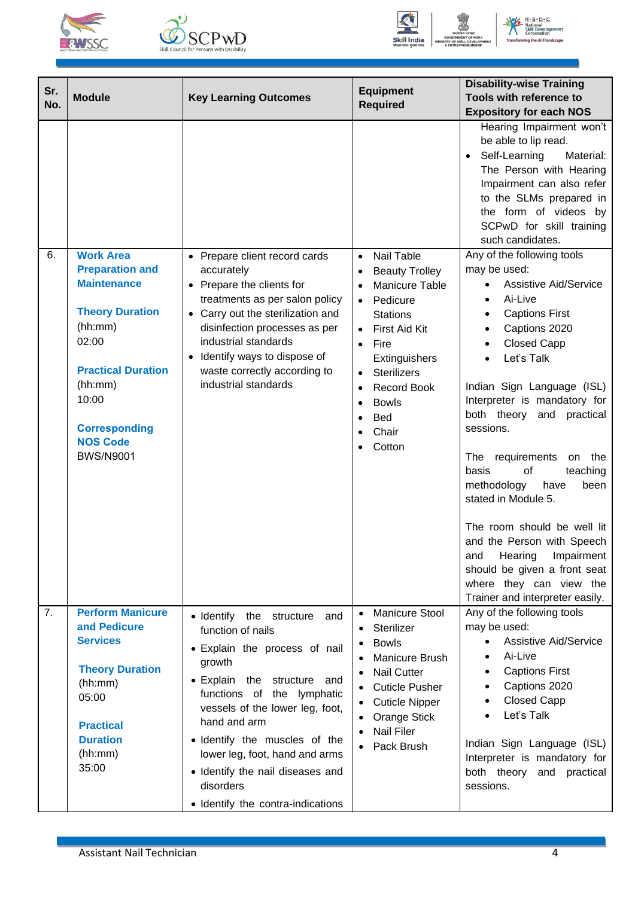







ation<br>ill D

| Sr.<br>No. | <b>Module</b>                                                                                                                                                                                              | <b>Key Learning Outcomes</b>                                                                                                                                                                                                                                                                                                                                                   | <b>Equipment</b><br><b>Required</b>                                                                                                                                                                                                                                                                               | <b>Disability-wise Training</b><br>Tools with reference to<br><b>Expository for each NOS</b>                                                                                                                                                                                                                                                                                                                                                                                                                                                                                  |
|------------|------------------------------------------------------------------------------------------------------------------------------------------------------------------------------------------------------------|--------------------------------------------------------------------------------------------------------------------------------------------------------------------------------------------------------------------------------------------------------------------------------------------------------------------------------------------------------------------------------|-------------------------------------------------------------------------------------------------------------------------------------------------------------------------------------------------------------------------------------------------------------------------------------------------------------------|-------------------------------------------------------------------------------------------------------------------------------------------------------------------------------------------------------------------------------------------------------------------------------------------------------------------------------------------------------------------------------------------------------------------------------------------------------------------------------------------------------------------------------------------------------------------------------|
| 6.         | <b>Work Area</b><br><b>Preparation and</b><br><b>Maintenance</b><br><b>Theory Duration</b><br>(hh:mm)<br>02:00<br><b>Practical Duration</b><br>(hh:mm)<br>10:00<br><b>Corresponding</b><br><b>NOS Code</b> | • Prepare client record cards<br>accurately<br>Prepare the clients for<br>$\bullet$<br>treatments as per salon policy<br>Carry out the sterilization and<br>disinfection processes as per<br>industrial standards<br>Identify ways to dispose of<br>waste correctly according to<br>industrial standards                                                                       | Nail Table<br>$\bullet$<br><b>Beauty Trolley</b><br>Manicure Table<br>$\bullet$<br>Pedicure<br>$\bullet$<br><b>Stations</b><br>First Aid Kit<br>$\bullet$<br>Fire<br>$\bullet$<br>Extinguishers<br><b>Sterilizers</b><br><b>Record Book</b><br>$\bullet$<br><b>Bowls</b><br>$\bullet$<br><b>Bed</b><br>٠<br>Chair | Hearing Impairment won't<br>be able to lip read.<br>Self-Learning<br>Material:<br>The Person with Hearing<br>Impairment can also refer<br>to the SLMs prepared in<br>the form of videos by<br>SCPwD for skill training<br>such candidates.<br>Any of the following tools<br>may be used:<br><b>Assistive Aid/Service</b><br>$\bullet$<br>Ai-Live<br>$\bullet$<br><b>Captions First</b><br>Captions 2020<br>$\bullet$<br><b>Closed Capp</b><br>$\bullet$<br>Let's Talk<br>Indian Sign Language (ISL)<br>Interpreter is mandatory for<br>both theory and practical<br>sessions. |
|            | <b>BWS/N9001</b>                                                                                                                                                                                           |                                                                                                                                                                                                                                                                                                                                                                                | Cotton                                                                                                                                                                                                                                                                                                            | requirements<br>The<br>the<br>on<br>basis<br>of<br>teaching<br>methodology<br>have<br>been<br>stated in Module 5.<br>The room should be well lit<br>and the Person with Speech<br>Impairment<br>Hearing<br>and<br>should be given a front seat<br>where they can view the<br>Trainer and interpreter easily.                                                                                                                                                                                                                                                                  |
| 7.         | <b>Perform Manicure</b><br>and Pedicure<br><b>Services</b><br><b>Theory Duration</b><br>(hh:mm)<br>05:00<br><b>Practical</b><br><b>Duration</b><br>(hh:mm)<br>35:00                                        | • Identify the<br>structure<br>and<br>function of nails<br>• Explain the process of nail<br>growth<br>• Explain the structure<br>and<br>functions of the lymphatic<br>vessels of the lower leg, foot,<br>hand and arm<br>· Identify the muscles of the<br>lower leg, foot, hand and arms<br>· Identify the nail diseases and<br>disorders<br>• Identify the contra-indications | <b>Manicure Stool</b><br>$\bullet$<br>Sterilizer<br><b>Bowls</b><br>$\bullet$<br>Manicure Brush<br><b>Nail Cutter</b><br><b>Cuticle Pusher</b><br><b>Cuticle Nipper</b><br>Orange Stick<br><b>Nail Filer</b><br>$\bullet$<br>Pack Brush                                                                           | Any of the following tools<br>may be used:<br><b>Assistive Aid/Service</b><br>Ai-Live<br>$\bullet$<br><b>Captions First</b><br>Captions 2020<br><b>Closed Capp</b><br>$\bullet$<br>Let's Talk<br>Indian Sign Language (ISL)<br>Interpreter is mandatory for<br>both theory and practical<br>sessions.                                                                                                                                                                                                                                                                         |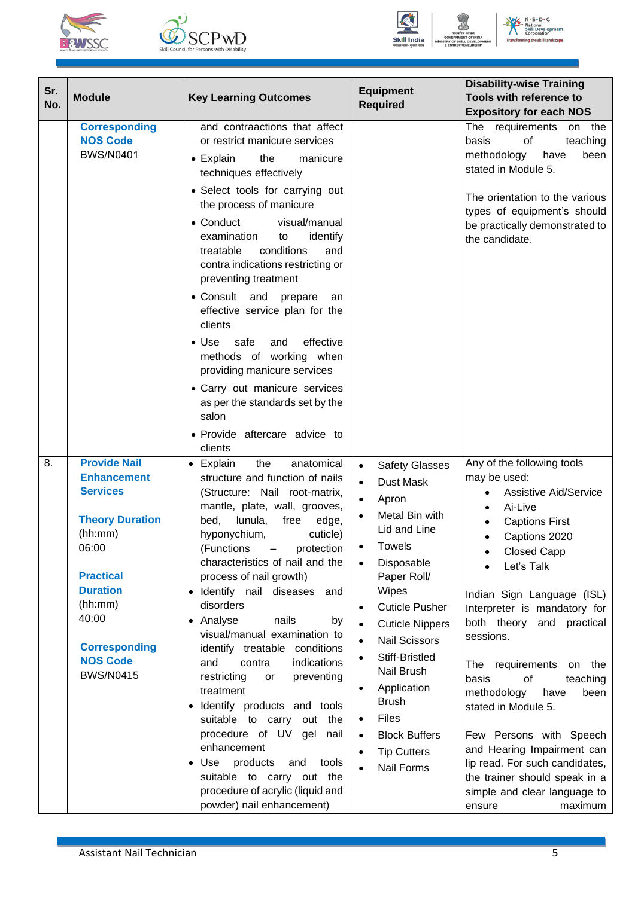







| Sr.<br>No. | <b>Module</b>                                                                                                                                                                                                                        | <b>Key Learning Outcomes</b>                                                                                                                                                                                                                                                                                                                                                                                                                                                                                                                                                                                                                                                                                                                                                                             | <b>Equipment</b><br><b>Required</b>                                                                                                                                                                                                                                                                                                                                                                                                                                                                | <b>Disability-wise Training</b><br>Tools with reference to<br><b>Expository for each NOS</b>                                                                                                                                                                                                                                                                                                                                                                                                                                                                                |
|------------|--------------------------------------------------------------------------------------------------------------------------------------------------------------------------------------------------------------------------------------|----------------------------------------------------------------------------------------------------------------------------------------------------------------------------------------------------------------------------------------------------------------------------------------------------------------------------------------------------------------------------------------------------------------------------------------------------------------------------------------------------------------------------------------------------------------------------------------------------------------------------------------------------------------------------------------------------------------------------------------------------------------------------------------------------------|----------------------------------------------------------------------------------------------------------------------------------------------------------------------------------------------------------------------------------------------------------------------------------------------------------------------------------------------------------------------------------------------------------------------------------------------------------------------------------------------------|-----------------------------------------------------------------------------------------------------------------------------------------------------------------------------------------------------------------------------------------------------------------------------------------------------------------------------------------------------------------------------------------------------------------------------------------------------------------------------------------------------------------------------------------------------------------------------|
|            | <b>Corresponding</b><br><b>NOS Code</b><br><b>BWS/N0401</b>                                                                                                                                                                          | and contraactions that affect<br>or restrict manicure services<br>$\bullet$ Explain<br>the<br>manicure<br>techniques effectively<br>• Select tools for carrying out<br>the process of manicure<br>• Conduct<br>visual/manual<br>examination<br>identify<br>to<br>conditions<br>treatable<br>and<br>contra indications restricting or<br>preventing treatment<br>• Consult and prepare<br>an<br>effective service plan for the<br>clients<br>safe and<br>effective<br>$\bullet$ Use<br>methods of working when<br>providing manicure services<br>• Carry out manicure services<br>as per the standards set by the<br>salon<br>• Provide aftercare advice to<br>clients                                                                                                                                    |                                                                                                                                                                                                                                                                                                                                                                                                                                                                                                    | The requirements<br>on the<br>basis<br>of<br>teaching<br>methodology<br>been<br>have<br>stated in Module 5.<br>The orientation to the various<br>types of equipment's should<br>be practically demonstrated to<br>the candidate.                                                                                                                                                                                                                                                                                                                                            |
| 8.         | <b>Provide Nail</b><br><b>Enhancement</b><br><b>Services</b><br><b>Theory Duration</b><br>(hh:mm)<br>06:00<br><b>Practical</b><br><b>Duration</b><br>(hh:mm)<br>40:00<br><b>Corresponding</b><br><b>NOS Code</b><br><b>BWS/N0415</b> | the<br>$\bullet$ Explain<br>anatomical<br>structure and function of nails<br>(Structure: Nail root-matrix,<br>mantle, plate, wall, grooves,<br>bed,<br>lunula,<br>free<br>edge,<br>hyponychium,<br>cuticle)<br>(Functions - protection<br>characteristics of nail and the<br>process of nail growth)<br>· Identify nail diseases and<br>disorders<br>Analyse<br>nails<br>by<br>$\bullet$<br>visual/manual examination to<br>identify treatable conditions<br>and<br>indications<br>contra<br>restricting<br>preventing<br>or<br>treatment<br>Identify products and tools<br>$\bullet$<br>suitable to carry out the<br>procedure of UV gel nail<br>enhancement<br>Use products<br>and<br>tools<br>$\bullet$<br>suitable to carry out the<br>procedure of acrylic (liquid and<br>powder) nail enhancement) | <b>Safety Glasses</b><br>$\bullet$<br>Dust Mask<br>$\bullet$<br>Apron<br>$\bullet$<br>Metal Bin with<br>$\bullet$<br>Lid and Line<br>Towels<br>Disposable<br>$\bullet$<br>Paper Roll/<br>Wipes<br><b>Cuticle Pusher</b><br>$\bullet$<br><b>Cuticle Nippers</b><br><b>Nail Scissors</b><br>Stiff-Bristled<br>Nail Brush<br>Application<br>$\bullet$<br><b>Brush</b><br><b>Files</b><br>$\bullet$<br><b>Block Buffers</b><br>$\bullet$<br><b>Tip Cutters</b><br>$\bullet$<br>Nail Forms<br>$\bullet$ | Any of the following tools<br>may be used:<br><b>Assistive Aid/Service</b><br>Ai-Live<br><b>Captions First</b><br>Captions 2020<br><b>Closed Capp</b><br>Let's Talk<br>Indian Sign Language (ISL)<br>Interpreter is mandatory for<br>both theory and practical<br>sessions.<br>The requirements<br>on the<br>basis<br>οf<br>teaching<br>methodology<br>have<br>been<br>stated in Module 5.<br>Few Persons with Speech<br>and Hearing Impairment can<br>lip read. For such candidates,<br>the trainer should speak in a<br>simple and clear language to<br>maximum<br>ensure |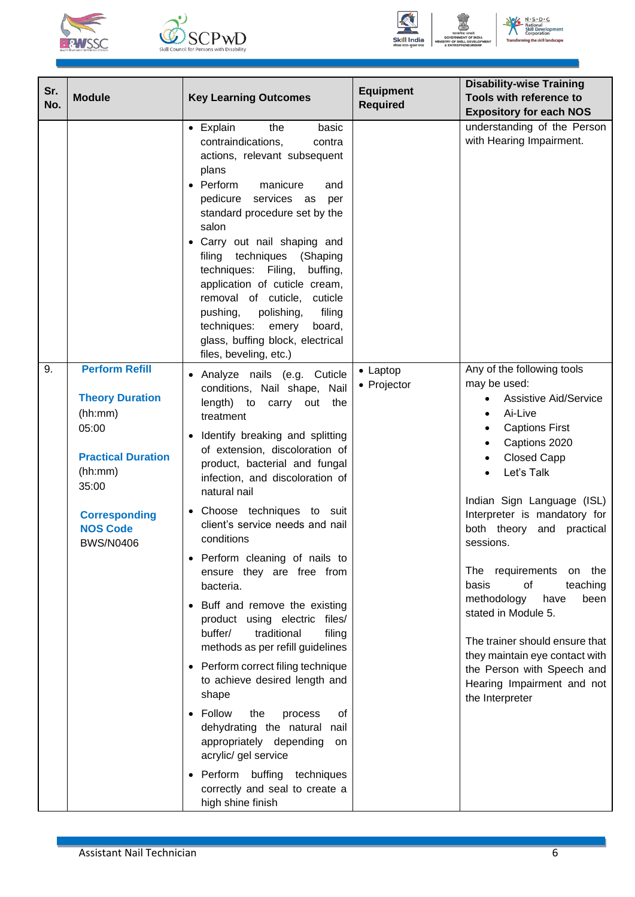







| Sr.<br><b>Module</b><br>No.                                                                                                                                                               | <b>Key Learning Outcomes</b>                                                                                                                                                                                                                                                                                                                                                                                                                                                                                                                                                                                                                                                                                                                                                                                                                            | <b>Equipment</b><br><b>Required</b> | <b>Disability-wise Training</b><br>Tools with reference to<br><b>Expository for each NOS</b>                                                                                                                                                                                                                                                                                                                                                                                                                                                                                         |
|-------------------------------------------------------------------------------------------------------------------------------------------------------------------------------------------|---------------------------------------------------------------------------------------------------------------------------------------------------------------------------------------------------------------------------------------------------------------------------------------------------------------------------------------------------------------------------------------------------------------------------------------------------------------------------------------------------------------------------------------------------------------------------------------------------------------------------------------------------------------------------------------------------------------------------------------------------------------------------------------------------------------------------------------------------------|-------------------------------------|--------------------------------------------------------------------------------------------------------------------------------------------------------------------------------------------------------------------------------------------------------------------------------------------------------------------------------------------------------------------------------------------------------------------------------------------------------------------------------------------------------------------------------------------------------------------------------------|
|                                                                                                                                                                                           | • Explain<br>the<br>basic<br>contraindications,<br>contra<br>actions, relevant subsequent<br>plans<br>• Perform<br>manicure<br>and<br>pedicure<br>services as<br>per<br>standard procedure set by the<br>salon<br>• Carry out nail shaping and<br>filing techniques (Shaping<br>techniques: Filing,<br>buffing,<br>application of cuticle cream,<br>removal of cuticle, cuticle<br>pushing,<br>polishing,<br>filing<br>techniques:<br>board,<br>emery<br>glass, buffing block, electrical<br>files, beveling, etc.)                                                                                                                                                                                                                                                                                                                                     |                                     | understanding of the Person<br>with Hearing Impairment.                                                                                                                                                                                                                                                                                                                                                                                                                                                                                                                              |
| 9.<br><b>Perform Refill</b><br><b>Theory Duration</b><br>(hh:mm)<br>05:00<br><b>Practical Duration</b><br>(hh:mm)<br>35:00<br><b>Corresponding</b><br><b>NOS Code</b><br><b>BWS/N0406</b> | Analyze nails (e.g. Cuticle<br>conditions, Nail shape, Nail<br>length) to<br>carry<br>out<br>the<br>treatment<br>Identify breaking and splitting<br>of extension, discoloration of<br>product, bacterial and fungal<br>infection, and discoloration of<br>natural nail<br>Choose techniques to suit<br>client's service needs and nail<br>conditions<br>Perform cleaning of nails to<br>ensure they are free from<br>bacteria.<br>• Buff and remove the existing<br>product using electric files/<br>buffer/<br>traditional<br>filing<br>methods as per refill guidelines<br>• Perform correct filing technique<br>to achieve desired length and<br>shape<br>Follow<br>the<br>οf<br>process<br>dehydrating the natural<br>nail<br>appropriately depending<br>on<br>acrylic/ gel service<br>Perform buffing techniques<br>correctly and seal to create a | • Laptop<br>• Projector             | Any of the following tools<br>may be used:<br><b>Assistive Aid/Service</b><br>$\bullet$<br>Ai-Live<br>$\bullet$<br><b>Captions First</b><br>Captions 2020<br><b>Closed Capp</b><br>$\bullet$<br>Let's Talk<br>Indian Sign Language (ISL)<br>Interpreter is mandatory for<br>both theory and practical<br>sessions.<br>The requirements<br>on the<br>of<br>basis<br>teaching<br>methodology<br>have<br>been<br>stated in Module 5.<br>The trainer should ensure that<br>they maintain eye contact with<br>the Person with Speech and<br>Hearing Impairment and not<br>the Interpreter |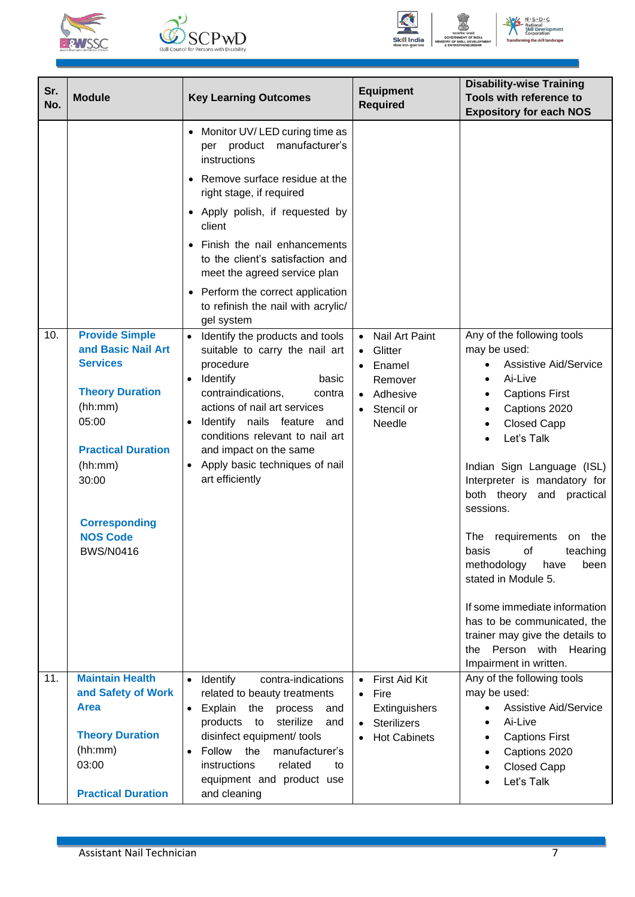





| Sr.<br>No. | <b>Module</b>                                                                                                                                                                                                                | <b>Key Learning Outcomes</b>                                                                                                                                                                                                                                                                                                                                                                                                                                                                                                                                                                                                                                                                                                                                   | <b>Equipment</b><br><b>Required</b>                                                                              | <b>Disability-wise Training</b><br>Tools with reference to                                                                                                                                                                                                                                                                                                                                                                                                                                                                                                    |
|------------|------------------------------------------------------------------------------------------------------------------------------------------------------------------------------------------------------------------------------|----------------------------------------------------------------------------------------------------------------------------------------------------------------------------------------------------------------------------------------------------------------------------------------------------------------------------------------------------------------------------------------------------------------------------------------------------------------------------------------------------------------------------------------------------------------------------------------------------------------------------------------------------------------------------------------------------------------------------------------------------------------|------------------------------------------------------------------------------------------------------------------|---------------------------------------------------------------------------------------------------------------------------------------------------------------------------------------------------------------------------------------------------------------------------------------------------------------------------------------------------------------------------------------------------------------------------------------------------------------------------------------------------------------------------------------------------------------|
| 10.        | <b>Provide Simple</b><br>and Basic Nail Art<br><b>Services</b><br><b>Theory Duration</b><br>(hh:mm)<br>05:00<br><b>Practical Duration</b><br>(hh:mm)<br>30:00<br><b>Corresponding</b><br><b>NOS Code</b><br><b>BWS/N0416</b> | Monitor UV/LED curing time as<br>$\bullet$<br>manufacturer's<br>per product<br>instructions<br>Remove surface residue at the<br>$\bullet$<br>right stage, if required<br>• Apply polish, if requested by<br>client<br>Finish the nail enhancements<br>to the client's satisfaction and<br>meet the agreed service plan<br>Perform the correct application<br>to refinish the nail with acrylic/<br>gel system<br>Identify the products and tools<br>suitable to carry the nail art<br>procedure<br>Identify<br>basic<br>$\bullet$<br>contraindications,<br>contra<br>actions of nail art services<br>Identify nails feature and<br>$\bullet$<br>conditions relevant to nail art<br>and impact on the same<br>Apply basic techniques of nail<br>art efficiently | Nail Art Paint<br>$\bullet$<br>Glitter<br>• Enamel<br>Remover<br>• Adhesive<br>Stencil or<br>$\bullet$<br>Needle | <b>Expository for each NOS</b><br>Any of the following tools<br>may be used:<br><b>Assistive Aid/Service</b><br>Ai-Live<br><b>Captions First</b><br>Captions 2020<br><b>Closed Capp</b><br>Let's Talk<br>Indian Sign Language (ISL)<br>Interpreter is mandatory for<br>both theory and practical<br>sessions.<br>requirements on the<br>The<br>teaching<br>basis<br>of<br>methodology<br>have<br>been<br>stated in Module 5.<br>If some immediate information<br>has to be communicated, the<br>trainer may give the details to<br>Person with Hearing<br>the |
| 11.        | <b>Maintain Health</b><br>and Safety of Work<br><b>Area</b>                                                                                                                                                                  | contra-indications<br>Identify<br>$\bullet$<br>related to beauty treatments<br>Explain<br>the<br>process<br>and<br>$\bullet$                                                                                                                                                                                                                                                                                                                                                                                                                                                                                                                                                                                                                                   | • First Aid Kit<br>Fire<br>$\bullet$<br>Extinguishers                                                            | Impairment in written.<br>Any of the following tools<br>may be used:<br><b>Assistive Aid/Service</b>                                                                                                                                                                                                                                                                                                                                                                                                                                                          |
|            | <b>Theory Duration</b><br>(hh:mm)<br>03:00<br><b>Practical Duration</b>                                                                                                                                                      | products<br>sterilize<br>to<br>and<br>disinfect equipment/ tools<br>the<br>Follow<br>manufacturer's<br>$\bullet$<br>instructions<br>related<br>to<br>equipment and product use<br>and cleaning                                                                                                                                                                                                                                                                                                                                                                                                                                                                                                                                                                 | <b>Sterilizers</b><br>$\bullet$<br><b>Hot Cabinets</b>                                                           | Ai-Live<br><b>Captions First</b><br>Captions 2020<br><b>Closed Capp</b><br>Let's Talk                                                                                                                                                                                                                                                                                                                                                                                                                                                                         |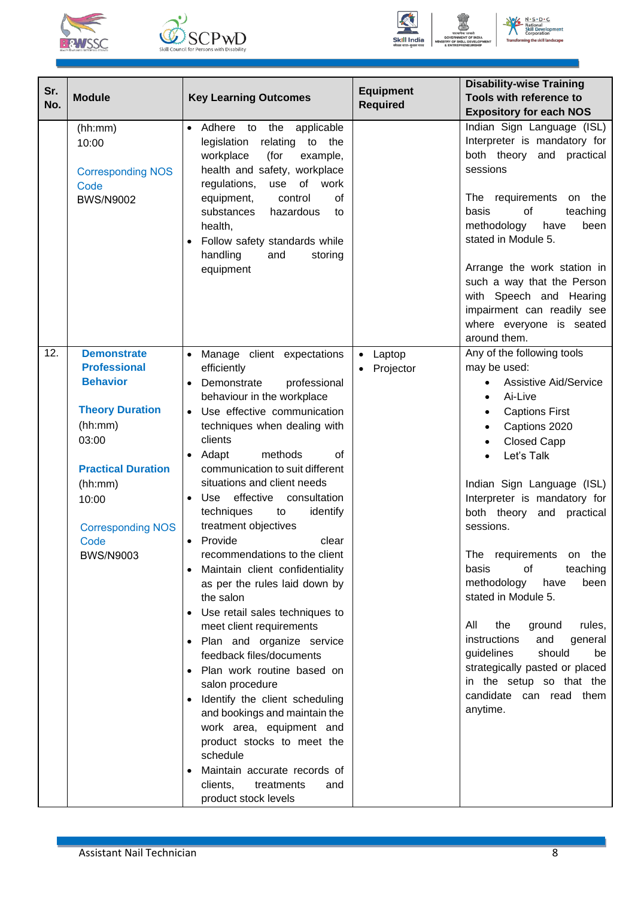







| Sr.<br>No. | <b>Module</b>                                                                                                                                                                                                       | <b>Key Learning Outcomes</b>                                                                                                                                                                                                                                                                                                                                                                                                                                                                                                                                                                                                                                                                                                                                                                                                                                                                                                                                                                                     | <b>Equipment</b><br><b>Required</b> | <b>Disability-wise Training</b><br>Tools with reference to<br><b>Expository for each NOS</b>                                                                                                                                                                                                                                                                                                                                                                                                                                                                                                                         |
|------------|---------------------------------------------------------------------------------------------------------------------------------------------------------------------------------------------------------------------|------------------------------------------------------------------------------------------------------------------------------------------------------------------------------------------------------------------------------------------------------------------------------------------------------------------------------------------------------------------------------------------------------------------------------------------------------------------------------------------------------------------------------------------------------------------------------------------------------------------------------------------------------------------------------------------------------------------------------------------------------------------------------------------------------------------------------------------------------------------------------------------------------------------------------------------------------------------------------------------------------------------|-------------------------------------|----------------------------------------------------------------------------------------------------------------------------------------------------------------------------------------------------------------------------------------------------------------------------------------------------------------------------------------------------------------------------------------------------------------------------------------------------------------------------------------------------------------------------------------------------------------------------------------------------------------------|
|            | (hh:mm)<br>10:00<br><b>Corresponding NOS</b><br>Code<br><b>BWS/N9002</b>                                                                                                                                            | Adhere to the<br>applicable<br>$\bullet$<br>legislation<br>relating<br>to the<br>workplace<br>(for<br>example,<br>health and safety, workplace<br>of<br>regulations,<br>work<br>use<br>equipment,<br>control<br>of<br>substances<br>hazardous<br>to<br>health,<br>Follow safety standards while<br>handling<br>and<br>storing<br>equipment                                                                                                                                                                                                                                                                                                                                                                                                                                                                                                                                                                                                                                                                       |                                     | Indian Sign Language (ISL)<br>Interpreter is mandatory for<br>both theory and<br>practical<br>sessions<br>The requirements<br>on the<br>of<br>teaching<br>basis<br>methodology<br>have<br>been<br>stated in Module 5.<br>Arrange the work station in<br>such a way that the Person<br>with Speech and Hearing<br>impairment can readily see<br>where everyone is seated<br>around them.                                                                                                                                                                                                                              |
| 12.        | <b>Demonstrate</b><br><b>Professional</b><br><b>Behavior</b><br><b>Theory Duration</b><br>(hh:mm)<br>03:00<br><b>Practical Duration</b><br>(hh:mm)<br>10:00<br><b>Corresponding NOS</b><br>Code<br><b>BWS/N9003</b> | Manage client expectations<br>$\bullet$<br>efficiently<br>Demonstrate<br>professional<br>behaviour in the workplace<br>Use effective communication<br>$\bullet$<br>techniques when dealing with<br>clients<br>methods<br>of<br>Adapt<br>$\bullet$<br>communication to suit different<br>situations and client needs<br>effective consultation<br>Use<br>techniques<br>identify<br>to<br>treatment objectives<br>Provide<br>clear<br>$\bullet$<br>recommendations to the client<br>Maintain client confidentiality<br>as per the rules laid down by<br>the salon<br>Use retail sales techniques to<br>$\bullet$<br>meet client requirements<br>Plan and organize service<br>$\bullet$<br>feedback files/documents<br>Plan work routine based on<br>salon procedure<br>Identify the client scheduling<br>$\bullet$<br>and bookings and maintain the<br>work area, equipment and<br>product stocks to meet the<br>schedule<br>Maintain accurate records of<br>clients,<br>treatments<br>and<br>product stock levels | Laptop<br>$\bullet$<br>Projector    | Any of the following tools<br>may be used:<br><b>Assistive Aid/Service</b><br>Ai-Live<br><b>Captions First</b><br>$\bullet$<br>Captions 2020<br><b>Closed Capp</b><br>Let's Talk<br>Indian Sign Language (ISL)<br>Interpreter is mandatory for<br>both theory<br>and<br>practical<br>sessions.<br>The requirements<br>on the<br>οf<br>teaching<br>basis<br>methodology<br>been<br>have<br>stated in Module 5.<br>All<br>the<br>ground<br>rules,<br>instructions<br>and<br>general<br>guidelines<br>should<br>be<br>strategically pasted or placed<br>in the setup so that the<br>candidate can read them<br>anytime. |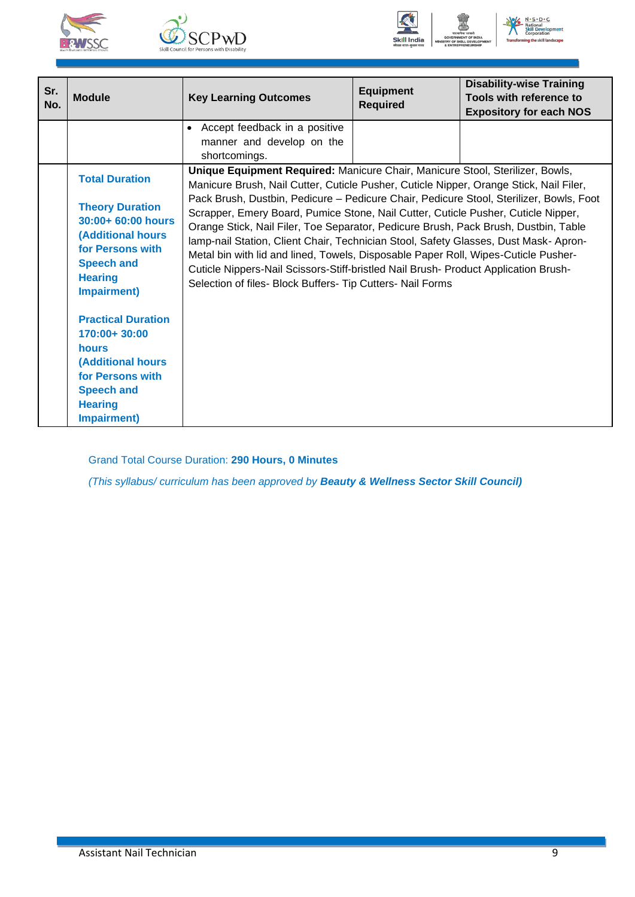







| Sr.<br>No. | <b>Module</b>                                                                                                                                                                | <b>Key Learning Outcomes</b>                                                                                                                                                                                                                                                                                                                                                                                                                                                                                                                                                                                                                                                                                                                                                     | <b>Equipment</b><br><b>Required</b> | <b>Disability-wise Training</b><br>Tools with reference to<br><b>Expository for each NOS</b> |
|------------|------------------------------------------------------------------------------------------------------------------------------------------------------------------------------|----------------------------------------------------------------------------------------------------------------------------------------------------------------------------------------------------------------------------------------------------------------------------------------------------------------------------------------------------------------------------------------------------------------------------------------------------------------------------------------------------------------------------------------------------------------------------------------------------------------------------------------------------------------------------------------------------------------------------------------------------------------------------------|-------------------------------------|----------------------------------------------------------------------------------------------|
|            |                                                                                                                                                                              | • Accept feedback in a positive<br>manner and develop on the<br>shortcomings.                                                                                                                                                                                                                                                                                                                                                                                                                                                                                                                                                                                                                                                                                                    |                                     |                                                                                              |
|            | <b>Total Duration</b><br><b>Theory Duration</b><br>$30:00+60:00$ hours<br><b>(Additional hours</b><br>for Persons with<br><b>Speech and</b><br><b>Hearing</b><br>Impairment) | Unique Equipment Required: Manicure Chair, Manicure Stool, Sterilizer, Bowls,<br>Manicure Brush, Nail Cutter, Cuticle Pusher, Cuticle Nipper, Orange Stick, Nail Filer,<br>Pack Brush, Dustbin, Pedicure - Pedicure Chair, Pedicure Stool, Sterilizer, Bowls, Foot<br>Scrapper, Emery Board, Pumice Stone, Nail Cutter, Cuticle Pusher, Cuticle Nipper,<br>Orange Stick, Nail Filer, Toe Separator, Pedicure Brush, Pack Brush, Dustbin, Table<br>lamp-nail Station, Client Chair, Technician Stool, Safety Glasses, Dust Mask-Apron-<br>Metal bin with lid and lined, Towels, Disposable Paper Roll, Wipes-Cuticle Pusher-<br>Cuticle Nippers-Nail Scissors-Stiff-bristled Nail Brush- Product Application Brush-<br>Selection of files- Block Buffers- Tip Cutters- Nail Forms |                                     |                                                                                              |
|            | <b>Practical Duration</b><br>170:00+30:00<br>hours<br><b>(Additional hours</b><br>for Persons with<br><b>Speech and</b><br><b>Hearing</b><br><b>Impairment)</b>              |                                                                                                                                                                                                                                                                                                                                                                                                                                                                                                                                                                                                                                                                                                                                                                                  |                                     |                                                                                              |

Grand Total Course Duration: **290 Hours, 0 Minutes**

*(This syllabus/ curriculum has been approved by Beauty & Wellness Sector Skill Council)*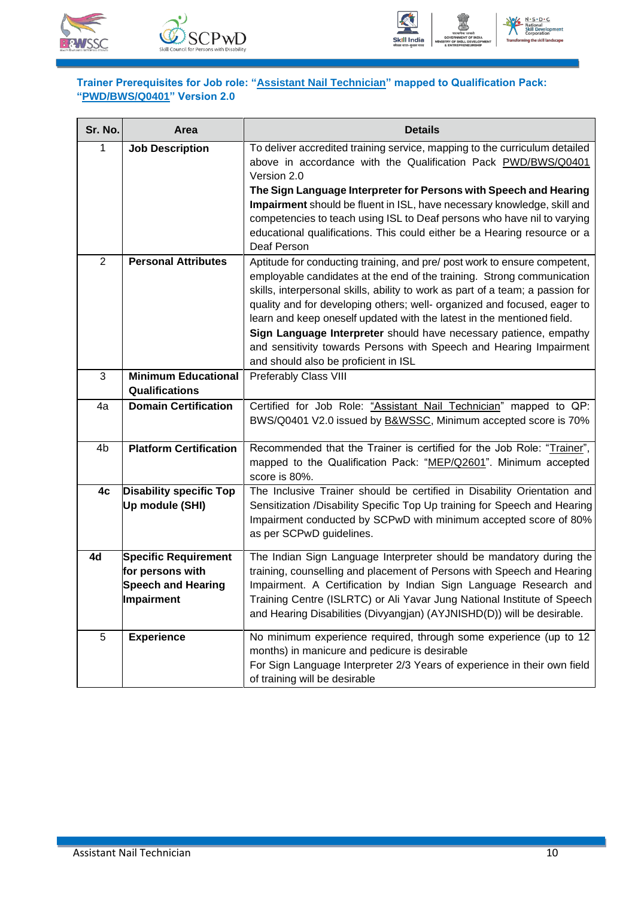





#### <span id="page-12-0"></span>**Trainer Prerequisites for Job role: "Assistant Nail Technician" mapped to Qualification Pack: "PWD/BWS/Q0401" Version 2.0**

| Sr. No.        | Area                                                                                              | <b>Details</b>                                                                                                                                                                                                                                                                                                                                                                                                                                                                                                                                                                 |
|----------------|---------------------------------------------------------------------------------------------------|--------------------------------------------------------------------------------------------------------------------------------------------------------------------------------------------------------------------------------------------------------------------------------------------------------------------------------------------------------------------------------------------------------------------------------------------------------------------------------------------------------------------------------------------------------------------------------|
| 1              | <b>Job Description</b>                                                                            | To deliver accredited training service, mapping to the curriculum detailed<br>above in accordance with the Qualification Pack PWD/BWS/Q0401<br>Version 2.0                                                                                                                                                                                                                                                                                                                                                                                                                     |
|                |                                                                                                   | The Sign Language Interpreter for Persons with Speech and Hearing<br>Impairment should be fluent in ISL, have necessary knowledge, skill and<br>competencies to teach using ISL to Deaf persons who have nil to varying<br>educational qualifications. This could either be a Hearing resource or a<br>Deaf Person                                                                                                                                                                                                                                                             |
| $\overline{2}$ | <b>Personal Attributes</b>                                                                        | Aptitude for conducting training, and pre/ post work to ensure competent,<br>employable candidates at the end of the training. Strong communication<br>skills, interpersonal skills, ability to work as part of a team; a passion for<br>quality and for developing others; well- organized and focused, eager to<br>learn and keep oneself updated with the latest in the mentioned field.<br>Sign Language Interpreter should have necessary patience, empathy<br>and sensitivity towards Persons with Speech and Hearing Impairment<br>and should also be proficient in ISL |
| 3              | <b>Minimum Educational</b><br>Qualifications                                                      | <b>Preferably Class VIII</b>                                                                                                                                                                                                                                                                                                                                                                                                                                                                                                                                                   |
| 4a             | <b>Domain Certification</b>                                                                       | Certified for Job Role: "Assistant Nail Technician" mapped to QP:<br>BWS/Q0401 V2.0 issued by <b>B&amp;WSSC</b> , Minimum accepted score is 70%                                                                                                                                                                                                                                                                                                                                                                                                                                |
| 4 <sub>b</sub> | <b>Platform Certification</b>                                                                     | Recommended that the Trainer is certified for the Job Role: "Trainer",<br>mapped to the Qualification Pack: "MEP/Q2601". Minimum accepted<br>score is 80%.                                                                                                                                                                                                                                                                                                                                                                                                                     |
| 4c             | <b>Disability specific Top</b><br>Up module (SHI)                                                 | The Inclusive Trainer should be certified in Disability Orientation and<br>Sensitization /Disability Specific Top Up training for Speech and Hearing<br>Impairment conducted by SCPwD with minimum accepted score of 80%<br>as per SCPwD guidelines.                                                                                                                                                                                                                                                                                                                           |
| 4d             | <b>Specific Requirement</b><br>for persons with<br><b>Speech and Hearing</b><br><b>Impairment</b> | The Indian Sign Language Interpreter should be mandatory during the<br>training, counselling and placement of Persons with Speech and Hearing<br>Impairment. A Certification by Indian Sign Language Research and<br>Training Centre (ISLRTC) or Ali Yavar Jung National Institute of Speech<br>and Hearing Disabilities (Divyangjan) (AYJNISHD(D)) will be desirable.                                                                                                                                                                                                         |
| 5              | <b>Experience</b>                                                                                 | No minimum experience required, through some experience (up to 12<br>months) in manicure and pedicure is desirable<br>For Sign Language Interpreter 2/3 Years of experience in their own field<br>of training will be desirable                                                                                                                                                                                                                                                                                                                                                |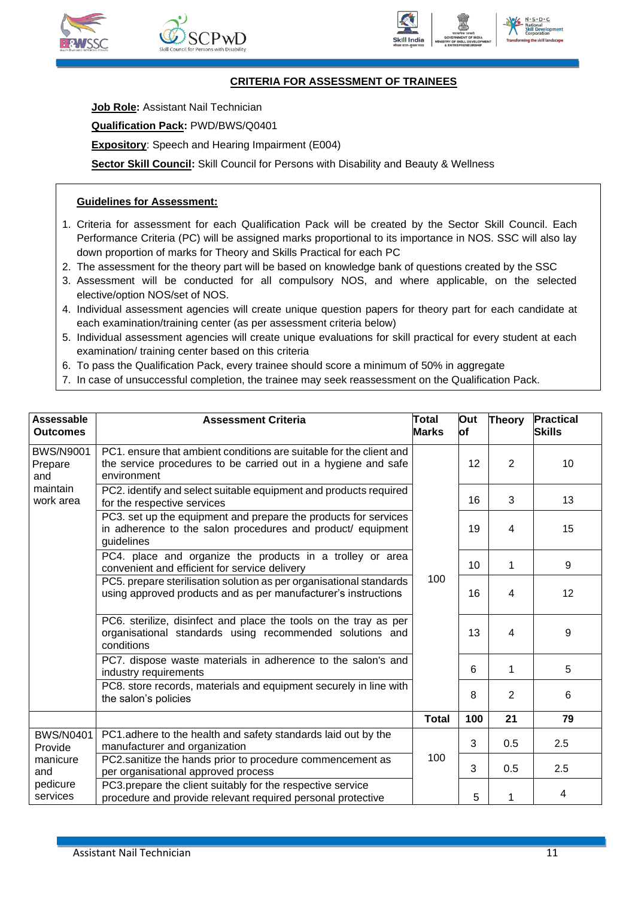







#### **CRITERIA FOR ASSESSMENT OF TRAINEES**

<span id="page-13-0"></span>**Job Role: Assistant Nail Technician** 

**Qualification Pack:** PWD/BWS/Q0401

**Expository**: Speech and Hearing Impairment (E004)

**Sector Skill Council:** Skill Council for Persons with Disability and Beauty & Wellness

#### **Guidelines for Assessment:**

- 1. Criteria for assessment for each Qualification Pack will be created by the Sector Skill Council. Each Performance Criteria (PC) will be assigned marks proportional to its importance in NOS. SSC will also lay down proportion of marks for Theory and Skills Practical for each PC
- 2. The assessment for the theory part will be based on knowledge bank of questions created by the SSC
- 3. Assessment will be conducted for all compulsory NOS, and where applicable, on the selected elective/option NOS/set of NOS.
- 4. Individual assessment agencies will create unique question papers for theory part for each candidate at each examination/training center (as per assessment criteria below)
- 5. Individual assessment agencies will create unique evaluations for skill practical for every student at each examination/ training center based on this criteria
- 6. To pass the Qualification Pack, every trainee should score a minimum of 50% in aggregate
- 7. In case of unsuccessful completion, the trainee may seek reassessment on the Qualification Pack.

| <b>Assessable</b><br><b>Outcomes</b> | <b>Assessment Criteria</b>                                                                                                                           | <b>Total</b><br><b>Marks</b> | Out<br>lof | Theory         | <b>Practical</b><br>Skills |
|--------------------------------------|------------------------------------------------------------------------------------------------------------------------------------------------------|------------------------------|------------|----------------|----------------------------|
| <b>BWS/N9001</b><br>Prepare<br>and   | PC1, ensure that ambient conditions are suitable for the client and<br>the service procedures to be carried out in a hygiene and safe<br>environment |                              | 12         | $\overline{2}$ | 10                         |
| maintain<br>work area                | PC2. identify and select suitable equipment and products required<br>for the respective services                                                     |                              | 16         | 3              | 13                         |
|                                      | PC3. set up the equipment and prepare the products for services<br>in adherence to the salon procedures and product/ equipment<br>guidelines         |                              | 19         | 4              | 15                         |
|                                      | PC4. place and organize the products in a trolley or area<br>convenient and efficient for service delivery                                           |                              | 10         | 1              | 9                          |
|                                      | PC5. prepare sterilisation solution as per organisational standards<br>using approved products and as per manufacturer's instructions                | 100                          | 16         | 4              | 12                         |
|                                      | PC6. sterilize, disinfect and place the tools on the tray as per<br>organisational standards using recommended solutions and<br>conditions           |                              | 13         | 4              | 9                          |
|                                      | PC7. dispose waste materials in adherence to the salon's and<br>industry requirements                                                                |                              | 6          | 1              | 5                          |
|                                      | PC8. store records, materials and equipment securely in line with<br>the salon's policies                                                            |                              | 8          | 2              | 6                          |
|                                      |                                                                                                                                                      | <b>Total</b>                 | 100        | 21             | 79                         |
| <b>BWS/N0401</b><br>Provide          | PC1.adhere to the health and safety standards laid out by the<br>manufacturer and organization                                                       |                              | 3          | 0.5            | 2.5                        |
| manicure<br>and                      | PC2.sanitize the hands prior to procedure commencement as<br>per organisational approved process                                                     | 100                          | 3          | 0.5            | 2.5                        |
| pedicure<br>services                 | PC3.prepare the client suitably for the respective service<br>procedure and provide relevant required personal protective                            |                              | 5          | 1              | 4                          |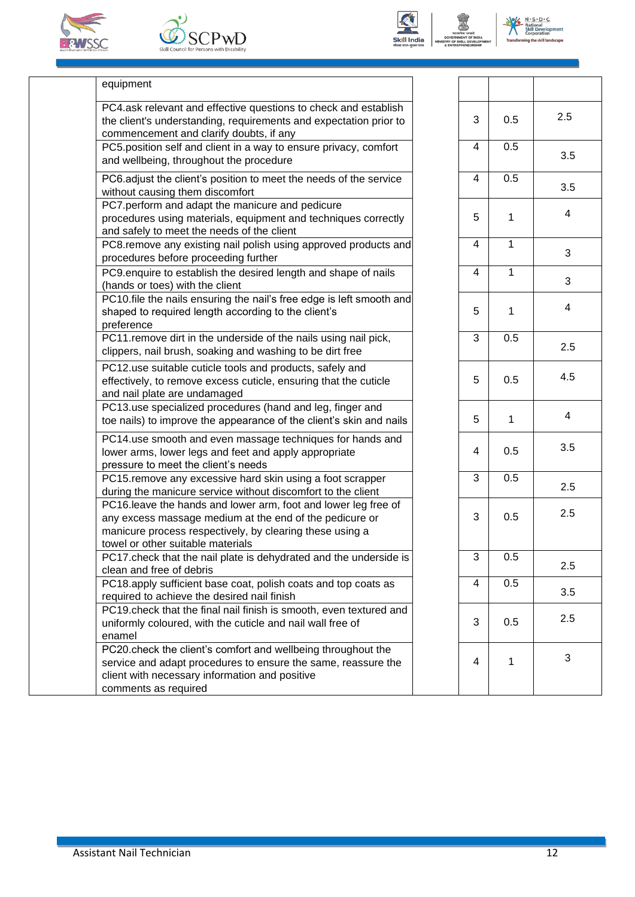







 $N \cdot S \cdot D \cdot C$ 

| equipment |
|-----------|
|-----------|

| PC4.ask relevant and effective questions to check and establish<br>the client's understanding, requirements and expectation prior to<br>commencement and clarify doubts, if any                                            | 3 | 0.5 |
|----------------------------------------------------------------------------------------------------------------------------------------------------------------------------------------------------------------------------|---|-----|
| PC5.position self and client in a way to ensure privacy, comfort<br>and wellbeing, throughout the procedure                                                                                                                | 4 | 0.5 |
| PC6.adjust the client's position to meet the needs of the service<br>without causing them discomfort                                                                                                                       | 4 | 0.  |
| PC7.perform and adapt the manicure and pedicure<br>procedures using materials, equipment and techniques correctly<br>and safely to meet the needs of the client                                                            | 5 | 1   |
| PC8.remove any existing nail polish using approved products and<br>procedures before proceeding further                                                                                                                    | 4 | 1   |
| PC9 enquire to establish the desired length and shape of nails<br>(hands or toes) with the client                                                                                                                          | 4 | 1   |
| PC10.file the nails ensuring the nail's free edge is left smooth and<br>shaped to required length according to the client's<br>preference                                                                                  | 5 | 1   |
| PC11.remove dirt in the underside of the nails using nail pick,<br>clippers, nail brush, soaking and washing to be dirt free                                                                                               | 3 | 0.5 |
| PC12.use suitable cuticle tools and products, safely and<br>effectively, to remove excess cuticle, ensuring that the cuticle<br>and nail plate are undamaged                                                               | 5 | 0.  |
| PC13.use specialized procedures (hand and leg, finger and<br>toe nails) to improve the appearance of the client's skin and nails                                                                                           | 5 | 1   |
| PC14.use smooth and even massage techniques for hands and<br>lower arms, lower legs and feet and apply appropriate<br>pressure to meet the client's needs                                                                  | 4 | 0.  |
| PC15.remove any excessive hard skin using a foot scrapper<br>during the manicure service without discomfort to the client                                                                                                  | 3 | 0.  |
| PC16.leave the hands and lower arm, foot and lower leg free of<br>any excess massage medium at the end of the pedicure or<br>manicure process respectively, by clearing these using a<br>towel or other suitable materials | 3 | 0.  |
| PC17 check that the nail plate is dehydrated and the underside is<br>clean and free of debris                                                                                                                              | 3 | 0.  |
| PC18.apply sufficient base coat, polish coats and top coats as<br>required to achieve the desired nail finish                                                                                                              | 4 | 0.  |
| PC19. check that the final nail finish is smooth, even textured and<br>uniformly coloured, with the cuticle and nail wall free of<br>enamel                                                                                | 3 | 0.  |
| PC20.check the client's comfort and wellbeing throughout the<br>service and adapt procedures to ensure the same, reassure the<br>client with necessary information and positive                                            | 4 | 1   |
| comments as required                                                                                                                                                                                                       |   |     |

| $\sqrt{3}$              | 0.5            | 2.5                     |
|-------------------------|----------------|-------------------------|
| $\overline{4}$          | 0.5            | 3.5                     |
| $\overline{4}$          | 0.5            | 3.5                     |
| 5                       | 1              | 4                       |
| $\overline{4}$          | $\overline{1}$ | 3                       |
| $\overline{4}$          | 1              | 3                       |
| 5                       | 1              | $\overline{\mathbf{4}}$ |
| $\overline{3}$          | 0.5            | 2.5                     |
| 5                       | 0.5            | 4.5                     |
| 5                       | 1              | $\overline{4}$          |
| $\overline{\mathbf{4}}$ | 0.5            | 3.5                     |
| $\overline{3}$          | 0.5            | 2.5                     |
| 3                       | 0.5            | 2.5                     |
| 3                       | 0.5            | 2.5                     |
| $\overline{4}$          | 0.5            | 3.5                     |
| 3                       | 0.5            | 2.5                     |
| 4                       | 1              | 3                       |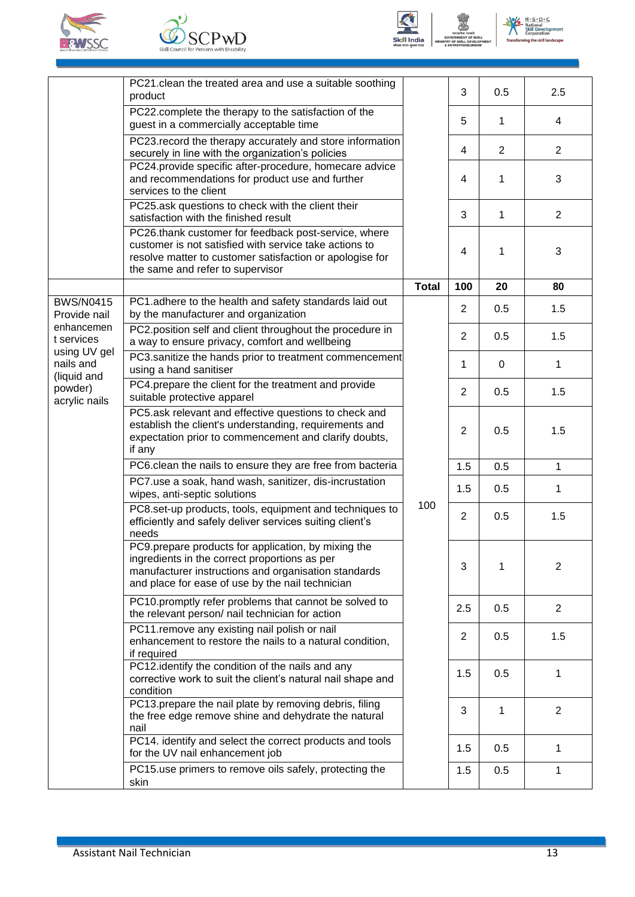







|                                          | PC21.clean the treated area and use a suitable soothing<br>product                                                                                                                                               |              | 3              | 0.5            | 2.5            |                |
|------------------------------------------|------------------------------------------------------------------------------------------------------------------------------------------------------------------------------------------------------------------|--------------|----------------|----------------|----------------|----------------|
|                                          | PC22.complete the therapy to the satisfaction of the<br>guest in a commercially acceptable time                                                                                                                  |              | 5              | 1              | 4              |                |
|                                          | PC23. record the therapy accurately and store information<br>securely in line with the organization's policies                                                                                                   |              | 4              | $\overline{2}$ | 2              |                |
|                                          | PC24.provide specific after-procedure, homecare advice<br>and recommendations for product use and further<br>services to the client                                                                              |              | 4              | 1              | 3              |                |
|                                          | PC25.ask questions to check with the client their<br>satisfaction with the finished result                                                                                                                       |              | 3              | 1              | $\overline{2}$ |                |
|                                          | PC26.thank customer for feedback post-service, where<br>customer is not satisfied with service take actions to<br>resolve matter to customer satisfaction or apologise for<br>the same and refer to supervisor   |              | 4              | 1              | 3              |                |
|                                          |                                                                                                                                                                                                                  | <b>Total</b> | 100            | 20             | 80             |                |
| <b>BWS/N0415</b><br>Provide nail         | PC1.adhere to the health and safety standards laid out<br>by the manufacturer and organization                                                                                                                   |              | $\overline{2}$ | 0.5            | 1.5            |                |
| enhancemen<br>t services                 | PC2.position self and client throughout the procedure in<br>a way to ensure privacy, comfort and wellbeing                                                                                                       |              | 2              | 0.5            | 1.5            |                |
| using UV gel<br>nails and<br>(liquid and | PC3.sanitize the hands prior to treatment commencement<br>using a hand sanitiser                                                                                                                                 |              | 1              | 0              | 1              |                |
| powder)<br>acrylic nails                 | PC4.prepare the client for the treatment and provide<br>suitable protective apparel                                                                                                                              |              | $\overline{2}$ | 0.5            | 1.5            |                |
|                                          | PC5.ask relevant and effective questions to check and<br>establish the client's understanding, requirements and<br>expectation prior to commencement and clarify doubts,<br>if any                               |              | $\overline{2}$ | 0.5            | 1.5            |                |
|                                          | PC6.clean the nails to ensure they are free from bacteria                                                                                                                                                        |              | 1.5            | 0.5            | 1              |                |
|                                          | PC7.use a soak, hand wash, sanitizer, dis-incrustation<br>wipes, anti-septic solutions                                                                                                                           |              | 1.5            | 0.5            | 1              |                |
|                                          | PC8.set-up products, tools, equipment and techniques to<br>efficiently and safely deliver services suiting client's<br>needs                                                                                     | 100          | $\overline{2}$ | 0.5            | 1.5            |                |
|                                          | PC9.prepare products for application, by mixing the<br>ingredients in the correct proportions as per<br>manufacturer instructions and organisation standards<br>and place for ease of use by the nail technician |              | 3              | 1              | 2              |                |
|                                          | PC10.promptly refer problems that cannot be solved to<br>the relevant person/ nail technician for action                                                                                                         |              |                | 2.5            | 0.5            | $\overline{2}$ |
|                                          | PC11.remove any existing nail polish or nail<br>enhancement to restore the nails to a natural condition,<br>if required                                                                                          |              |                | $\overline{2}$ | 0.5            | 1.5            |
|                                          | PC12.identify the condition of the nails and any<br>corrective work to suit the client's natural nail shape and<br>condition                                                                                     |              |                | 1.5            | 0.5            | 1              |
|                                          | PC13.prepare the nail plate by removing debris, filing<br>the free edge remove shine and dehydrate the natural<br>nail                                                                                           |              | 3              | 1              | $\overline{2}$ |                |
|                                          | PC14. identify and select the correct products and tools<br>for the UV nail enhancement job                                                                                                                      |              | 1.5            | 0.5            | 1              |                |
|                                          | PC15 use primers to remove oils safely, protecting the<br>skin                                                                                                                                                   |              | 1.5            | 0.5            | 1              |                |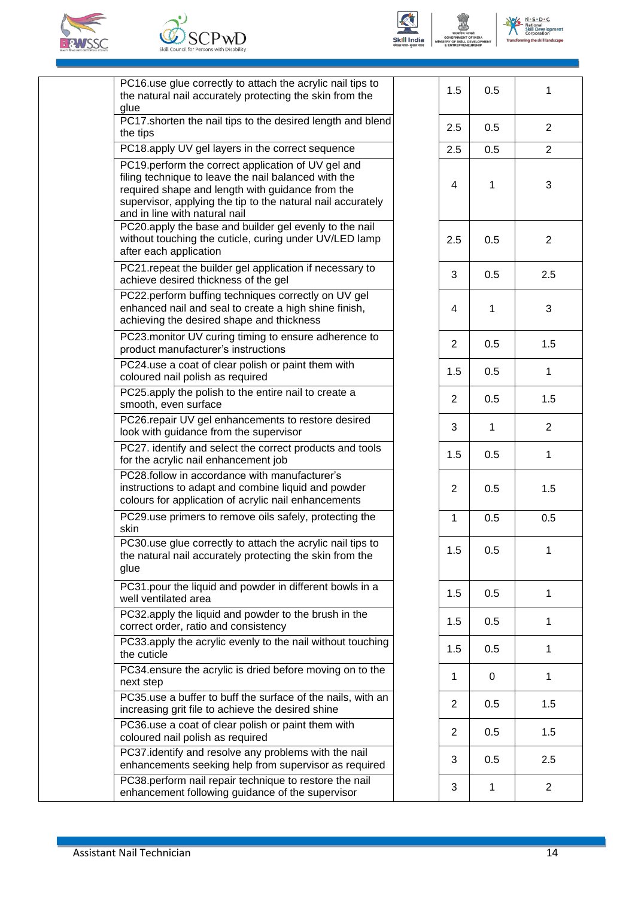







No No Solon Contract Contract Corporation

| PC16.use glue correctly to attach the acrylic nail tips to<br>the natural nail accurately protecting the skin from the<br>glue                                                                                                                                 | 1.5            | 0.5          | 1              |
|----------------------------------------------------------------------------------------------------------------------------------------------------------------------------------------------------------------------------------------------------------------|----------------|--------------|----------------|
| PC17.shorten the nail tips to the desired length and blend<br>the tips                                                                                                                                                                                         | 2.5            | 0.5          | $\overline{2}$ |
| PC18.apply UV gel layers in the correct sequence                                                                                                                                                                                                               | 2.5            | 0.5          | $\overline{2}$ |
| PC19.perform the correct application of UV gel and<br>filing technique to leave the nail balanced with the<br>required shape and length with guidance from the<br>supervisor, applying the tip to the natural nail accurately<br>and in line with natural nail | 4              | 1            | 3              |
| PC20.apply the base and builder gel evenly to the nail<br>without touching the cuticle, curing under UV/LED lamp<br>after each application                                                                                                                     | 2.5            | 0.5          | $\overline{2}$ |
| PC21.repeat the builder gel application if necessary to<br>achieve desired thickness of the gel                                                                                                                                                                | 3              | 0.5          | 2.5            |
| PC22.perform buffing techniques correctly on UV gel<br>enhanced nail and seal to create a high shine finish,<br>achieving the desired shape and thickness                                                                                                      | 4              | 1            | 3              |
| PC23.monitor UV curing timing to ensure adherence to<br>product manufacturer's instructions                                                                                                                                                                    | $\overline{2}$ | 0.5          | 1.5            |
| PC24.use a coat of clear polish or paint them with<br>coloured nail polish as required                                                                                                                                                                         | 1.5            | 0.5          | 1              |
| PC25.apply the polish to the entire nail to create a<br>smooth, even surface                                                                                                                                                                                   | $\overline{2}$ | 0.5          | 1.5            |
| PC26.repair UV gel enhancements to restore desired<br>look with guidance from the supervisor                                                                                                                                                                   | 3              | $\mathbf{1}$ | $\overline{2}$ |
| PC27. identify and select the correct products and tools<br>for the acrylic nail enhancement job                                                                                                                                                               | 1.5            | 0.5          | $\mathbf{1}$   |
| PC28.follow in accordance with manufacturer's<br>instructions to adapt and combine liquid and powder<br>colours for application of acrylic nail enhancements                                                                                                   | $\mathbf{2}$   | 0.5          | 1.5            |
| PC29.use primers to remove oils safely, protecting the<br>skin                                                                                                                                                                                                 | 1              | 0.5          | 0.5            |
| PC30.use glue correctly to attach the acrylic nail tips to<br>the natural nail accurately protecting the skin from the<br>glue                                                                                                                                 | 1.5            | 0.5          |                |
| PC31.pour the liquid and powder in different bowls in a<br>well ventilated area                                                                                                                                                                                | 1.5            | 0.5          | 1              |
| PC32.apply the liquid and powder to the brush in the<br>correct order, ratio and consistency                                                                                                                                                                   | 1.5            | 0.5          | 1              |
| PC33.apply the acrylic evenly to the nail without touching<br>the cuticle                                                                                                                                                                                      | 1.5            | 0.5          | 1              |
| PC34.ensure the acrylic is dried before moving on to the<br>next step                                                                                                                                                                                          | 1              | 0            | 1              |
| PC35.use a buffer to buff the surface of the nails, with an<br>increasing grit file to achieve the desired shine                                                                                                                                               | $\overline{2}$ | 0.5          | 1.5            |
| PC36.use a coat of clear polish or paint them with<br>coloured nail polish as required                                                                                                                                                                         | $\overline{2}$ | 0.5          | 1.5            |
| PC37.identify and resolve any problems with the nail<br>enhancements seeking help from supervisor as required                                                                                                                                                  | 3              | 0.5          | 2.5            |
| PC38.perform nail repair technique to restore the nail<br>enhancement following guidance of the supervisor                                                                                                                                                     | 3              | 1            | $\overline{2}$ |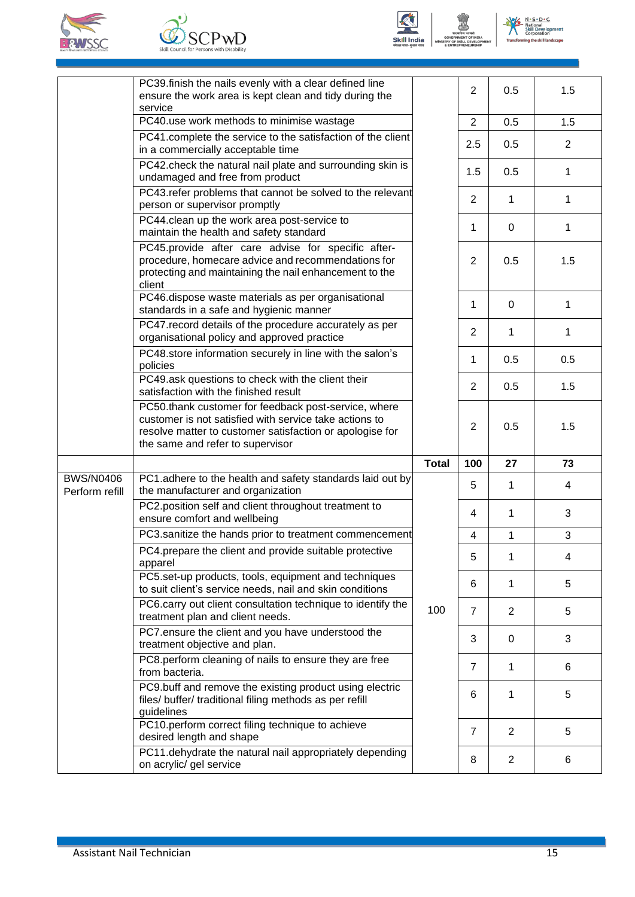





 $N \cdot S \cdot D \cdot C$  $N_{\alpha}$ ition<br>ill n

|                                    | PC39.finish the nails evenly with a clear defined line<br>ensure the work area is kept clean and tidy during the                                                                                               |              | $\overline{2}$ | 0.5            | 1.5            |
|------------------------------------|----------------------------------------------------------------------------------------------------------------------------------------------------------------------------------------------------------------|--------------|----------------|----------------|----------------|
|                                    | service<br>PC40.use work methods to minimise wastage                                                                                                                                                           |              | 2              | 0.5            | 1.5            |
|                                    | PC41.complete the service to the satisfaction of the client<br>in a commercially acceptable time                                                                                                               |              | 2.5            | 0.5            | $\overline{2}$ |
|                                    | PC42.check the natural nail plate and surrounding skin is<br>undamaged and free from product                                                                                                                   |              | 1.5            | 0.5            | 1              |
|                                    | PC43. refer problems that cannot be solved to the relevant<br>person or supervisor promptly                                                                                                                    |              | 2              | 1              | 1              |
|                                    | PC44.clean up the work area post-service to<br>maintain the health and safety standard                                                                                                                         |              | 1              | $\Omega$       | 1              |
|                                    | PC45.provide after care advise for specific after-<br>procedure, homecare advice and recommendations for<br>protecting and maintaining the nail enhancement to the<br>client                                   |              | 2              | 0.5            | 1.5            |
|                                    | PC46.dispose waste materials as per organisational<br>standards in a safe and hygienic manner                                                                                                                  |              | 1              | $\Omega$       | 1              |
|                                    | PC47. record details of the procedure accurately as per<br>organisational policy and approved practice                                                                                                         |              | 2              | 1              | 1              |
|                                    | PC48.store information securely in line with the salon's<br>policies                                                                                                                                           |              | 1              | 0.5            | 0.5            |
|                                    | PC49.ask questions to check with the client their<br>satisfaction with the finished result                                                                                                                     |              | 2              | 0.5            | 1.5            |
|                                    | PC50.thank customer for feedback post-service, where<br>customer is not satisfied with service take actions to<br>resolve matter to customer satisfaction or apologise for<br>the same and refer to supervisor |              | $\overline{2}$ | 0.5            | 1.5            |
|                                    |                                                                                                                                                                                                                | <b>Total</b> | 100            | 27             | 73             |
| <b>BWS/N0406</b><br>Perform refill | PC1.adhere to the health and safety standards laid out by<br>the manufacturer and organization                                                                                                                 |              | 5              | 1              | 4              |
|                                    | PC2.position self and client throughout treatment to<br>ensure comfort and wellbeing                                                                                                                           |              | 4              | 1              | 3              |
|                                    | PC3.sanitize the hands prior to treatment commencement                                                                                                                                                         |              | $\overline{4}$ | 1              | 3              |
|                                    | PC4.prepare the client and provide suitable protective<br>apparel                                                                                                                                              |              | 5              | 1              | 4              |
|                                    | PC5.set-up products, tools, equipment and techniques<br>to suit client's service needs, nail and skin conditions                                                                                               |              | 6              | 1              | 5              |
|                                    | PC6.carry out client consultation technique to identify the<br>treatment plan and client needs.                                                                                                                | 100          | $\overline{7}$ | $\overline{2}$ | 5              |
|                                    | PC7.ensure the client and you have understood the<br>treatment objective and plan.                                                                                                                             |              | 3              | 0              | 3              |
|                                    | PC8.perform cleaning of nails to ensure they are free<br>from bacteria.                                                                                                                                        |              | $\overline{7}$ | 1              | 6              |
|                                    | PC9.buff and remove the existing product using electric<br>files/ buffer/ traditional filing methods as per refill<br>guidelines                                                                               |              | 6              | 1              | 5              |
|                                    | PC10.perform correct filing technique to achieve<br>desired length and shape                                                                                                                                   |              | $\overline{7}$ | $\overline{2}$ | 5              |
|                                    | PC11.dehydrate the natural nail appropriately depending                                                                                                                                                        |              | 8              | $\overline{2}$ | 6              |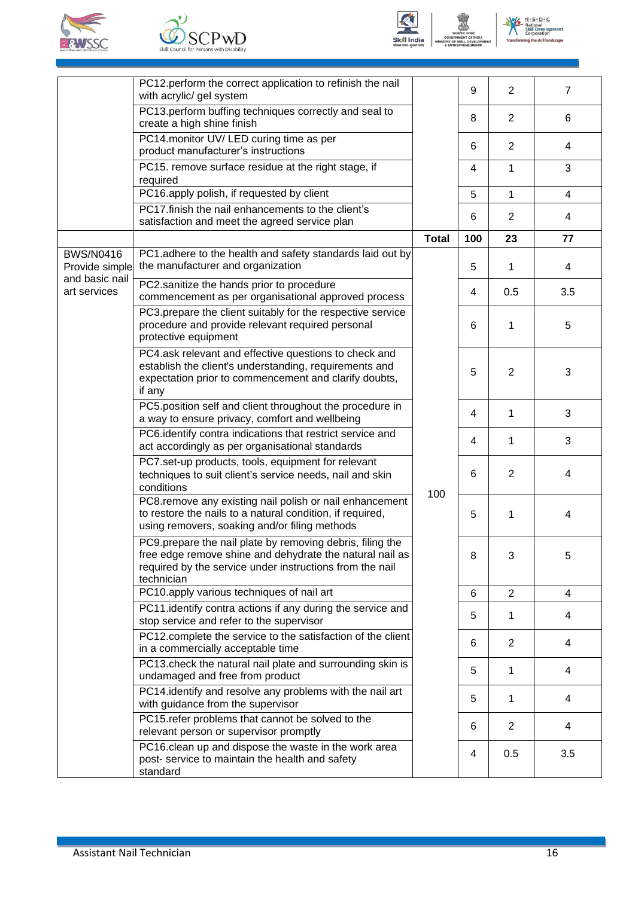







|                                    | PC12.perform the correct application to refinish the nail<br>with acrylic/ gel system                                                                                                           |              | 9   | $\overline{2}$ | $\overline{7}$          |
|------------------------------------|-------------------------------------------------------------------------------------------------------------------------------------------------------------------------------------------------|--------------|-----|----------------|-------------------------|
|                                    | PC13.perform buffing techniques correctly and seal to<br>create a high shine finish                                                                                                             |              | 8   | $\overline{2}$ | 6                       |
|                                    | PC14.monitor UV/LED curing time as per<br>product manufacturer's instructions                                                                                                                   |              | 6   | $\overline{2}$ | 4                       |
|                                    | PC15. remove surface residue at the right stage, if<br>required                                                                                                                                 |              | 4   | 1              | 3                       |
|                                    | PC16.apply polish, if requested by client                                                                                                                                                       |              | 5   | 1              | $\overline{\mathbf{4}}$ |
|                                    | PC17.finish the nail enhancements to the client's<br>satisfaction and meet the agreed service plan                                                                                              |              | 6   | $\overline{2}$ | 4                       |
|                                    |                                                                                                                                                                                                 | <b>Total</b> | 100 | 23             | 77                      |
| <b>BWS/N0416</b><br>Provide simple | PC1.adhere to the health and safety standards laid out by<br>the manufacturer and organization                                                                                                  |              | 5   | 1              | 4                       |
| and basic nail<br>art services     | PC2.sanitize the hands prior to procedure<br>commencement as per organisational approved process                                                                                                |              | 4   | 0.5            | 3.5                     |
|                                    | PC3.prepare the client suitably for the respective service<br>procedure and provide relevant required personal<br>protective equipment                                                          |              | 6   | 1              | 5                       |
|                                    | PC4.ask relevant and effective questions to check and<br>establish the client's understanding, requirements and<br>expectation prior to commencement and clarify doubts,<br>if any              | 100          | 5   | $\overline{2}$ | 3                       |
|                                    | PC5.position self and client throughout the procedure in<br>a way to ensure privacy, comfort and wellbeing                                                                                      |              | 4   | 1              | 3                       |
|                                    | PC6.identify contra indications that restrict service and<br>act accordingly as per organisational standards                                                                                    |              | 4   | 1              | 3                       |
|                                    | PC7.set-up products, tools, equipment for relevant<br>techniques to suit client's service needs, nail and skin<br>conditions                                                                    |              | 6   | $\overline{2}$ | 4                       |
|                                    | PC8.remove any existing nail polish or nail enhancement<br>to restore the nails to a natural condition, if required,<br>using removers, soaking and/or filing methods                           |              | 5   | 1              | 4                       |
|                                    | PC9.prepare the nail plate by removing debris, filing the<br>free edge remove shine and dehydrate the natural nail as<br>required by the service under instructions from the nail<br>technician |              |     | 8              | 3                       |
|                                    | PC10.apply various techniques of nail art                                                                                                                                                       |              | 6   | $\overline{2}$ | 4                       |
|                                    | PC11.identify contra actions if any during the service and<br>stop service and refer to the supervisor                                                                                          |              | 5   | 1              | 4                       |
|                                    | PC12.complete the service to the satisfaction of the client<br>in a commercially acceptable time                                                                                                |              | 6   | 2              | 4                       |
|                                    | PC13.check the natural nail plate and surrounding skin is<br>undamaged and free from product                                                                                                    |              | 5   | 1              | 4                       |
|                                    | PC14.identify and resolve any problems with the nail art<br>with guidance from the supervisor                                                                                                   |              | 5   | 1              | 4                       |
|                                    | PC15.refer problems that cannot be solved to the<br>relevant person or supervisor promptly                                                                                                      |              | 6   | $\overline{2}$ | 4                       |
|                                    | PC16.clean up and dispose the waste in the work area<br>post- service to maintain the health and safety<br>standard                                                                             |              | 4   | 0.5            | 3.5                     |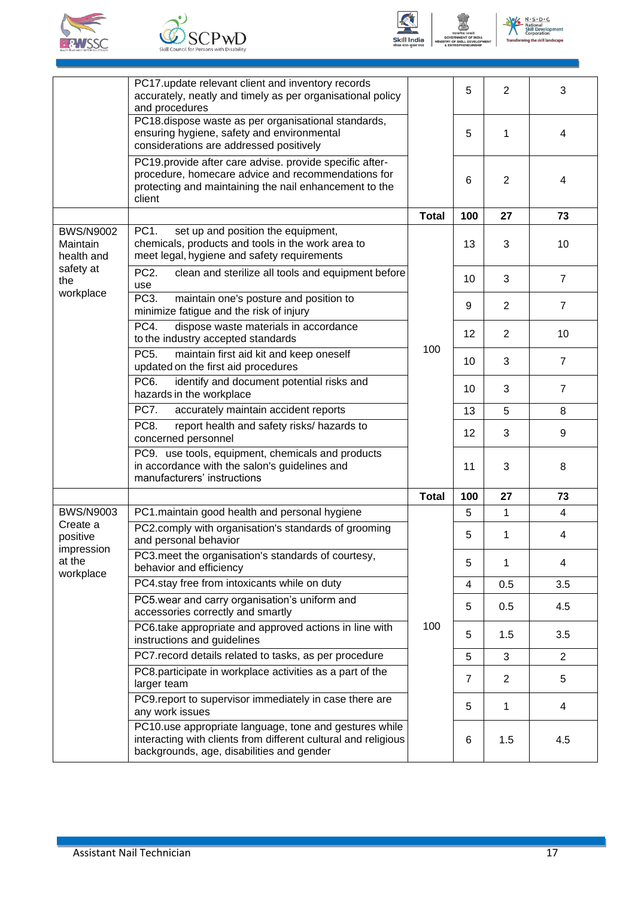







|                                            | PC17 update relevant client and inventory records<br>accurately, neatly and timely as per organisational policy<br>and procedures                                                 |              | 5              | $\overline{2}$ | 3              |
|--------------------------------------------|-----------------------------------------------------------------------------------------------------------------------------------------------------------------------------------|--------------|----------------|----------------|----------------|
|                                            | PC18.dispose waste as per organisational standards,<br>ensuring hygiene, safety and environmental<br>considerations are addressed positively                                      |              | 5              | 1              | 4              |
|                                            | PC19.provide after care advise. provide specific after-<br>procedure, homecare advice and recommendations for<br>protecting and maintaining the nail enhancement to the<br>client |              | 6              | $\overline{2}$ | 4              |
|                                            |                                                                                                                                                                                   | <b>Total</b> | 100            | 27             | 73             |
| <b>BWS/N9002</b><br>Maintain<br>health and | PC <sub>1</sub> .<br>set up and position the equipment,<br>chemicals, products and tools in the work area to<br>meet legal, hygiene and safety requirements                       |              | 13             | 3              | 10             |
| safety at<br>the<br>workplace              | PC <sub>2</sub> .<br>clean and sterilize all tools and equipment before<br>use                                                                                                    |              | 10             | 3              | $\overline{7}$ |
|                                            | PC <sub>3</sub> .<br>maintain one's posture and position to<br>minimize fatigue and the risk of injury                                                                            |              | 9              | 2              | $\overline{7}$ |
|                                            | PC4.<br>dispose waste materials in accordance<br>to the industry accepted standards                                                                                               | 100          | 12             | $\overline{2}$ | 10             |
|                                            | PC <sub>5</sub> .<br>maintain first aid kit and keep oneself<br>updated on the first aid procedures                                                                               |              | 10             | 3              | $\overline{7}$ |
|                                            | PC <sub>6</sub> .<br>identify and document potential risks and<br>hazards in the workplace                                                                                        |              | 10             | 3              | $\overline{7}$ |
|                                            | PC7.<br>accurately maintain accident reports                                                                                                                                      |              | 13             | 5              | 8              |
|                                            | PC8.<br>report health and safety risks/ hazards to<br>concerned personnel                                                                                                         |              | 12             | 3              | 9              |
|                                            | PC9. use tools, equipment, chemicals and products<br>in accordance with the salon's guidelines and<br>manufacturers' instructions                                                 |              | 11             | 3              | 8              |
|                                            |                                                                                                                                                                                   | <b>Total</b> | 100            | 27             | 73             |
| <b>BWS/N9003</b>                           | PC1.maintain good health and personal hygiene                                                                                                                                     |              | 5              | 1              | 4              |
| Create a<br>positive<br>impression         | PC2.comply with organisation's standards of grooming<br>and personal behavior                                                                                                     |              | 5              | 1              | 4              |
| at the<br>workplace                        | PC3.meet the organisation's standards of courtesy,<br>behavior and efficiency                                                                                                     |              | 5              | 1              | 4              |
|                                            | PC4.stay free from intoxicants while on duty                                                                                                                                      |              | 4              | 0.5            | 3.5            |
|                                            | PC5.wear and carry organisation's uniform and<br>accessories correctly and smartly                                                                                                |              | 5              | 0.5            | 4.5            |
|                                            | PC6.take appropriate and approved actions in line with<br>instructions and guidelines                                                                                             | 100          | 5              | 1.5            | 3.5            |
|                                            | PC7. record details related to tasks, as per procedure                                                                                                                            |              | 5              | 3              | $\overline{2}$ |
|                                            | PC8.participate in workplace activities as a part of the<br>larger team                                                                                                           |              | $\overline{7}$ | $\overline{2}$ | 5              |
|                                            | PC9.report to supervisor immediately in case there are<br>any work issues                                                                                                         |              | 5              | 1              | 4              |
|                                            | PC10.use appropriate language, tone and gestures while<br>interacting with clients from different cultural and religious<br>backgrounds, age, disabilities and gender             |              | 6              | 1.5            | 4.5            |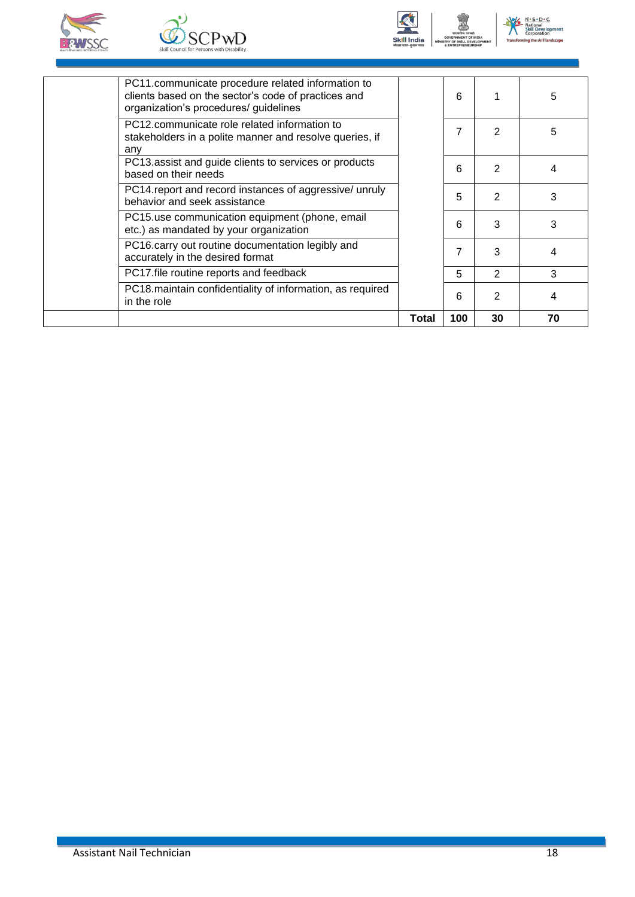







| 5<br>6<br>organization's procedures/ guidelines<br>PC12.communicate role related information to<br>7<br>2<br>5<br>stakeholders in a polite manner and resolve queries, if<br>any<br>PC13 assist and guide clients to services or products<br>2<br>6<br>4<br>based on their needs<br>PC14. report and record instances of aggressive/ unruly<br>2<br>3<br>5<br>behavior and seek assistance<br>PC15.use communication equipment (phone, email<br>3<br>3<br>6<br>etc.) as mandated by your organization<br>PC16.carry out routine documentation legibly and<br>3<br>4<br>accurately in the desired format<br>PC17.file routine reports and feedback<br>3<br>5<br>2<br>PC18 maintain confidentiality of information, as required<br>2<br>6<br>4<br>in the role |                                                     | Total | 100 | 30 | 70 |
|-------------------------------------------------------------------------------------------------------------------------------------------------------------------------------------------------------------------------------------------------------------------------------------------------------------------------------------------------------------------------------------------------------------------------------------------------------------------------------------------------------------------------------------------------------------------------------------------------------------------------------------------------------------------------------------------------------------------------------------------------------------|-----------------------------------------------------|-------|-----|----|----|
|                                                                                                                                                                                                                                                                                                                                                                                                                                                                                                                                                                                                                                                                                                                                                             |                                                     |       |     |    |    |
|                                                                                                                                                                                                                                                                                                                                                                                                                                                                                                                                                                                                                                                                                                                                                             |                                                     |       |     |    |    |
|                                                                                                                                                                                                                                                                                                                                                                                                                                                                                                                                                                                                                                                                                                                                                             |                                                     |       |     |    |    |
|                                                                                                                                                                                                                                                                                                                                                                                                                                                                                                                                                                                                                                                                                                                                                             |                                                     |       |     |    |    |
|                                                                                                                                                                                                                                                                                                                                                                                                                                                                                                                                                                                                                                                                                                                                                             |                                                     |       |     |    |    |
|                                                                                                                                                                                                                                                                                                                                                                                                                                                                                                                                                                                                                                                                                                                                                             |                                                     |       |     |    |    |
|                                                                                                                                                                                                                                                                                                                                                                                                                                                                                                                                                                                                                                                                                                                                                             |                                                     |       |     |    |    |
| PC11.communicate procedure related information to                                                                                                                                                                                                                                                                                                                                                                                                                                                                                                                                                                                                                                                                                                           | clients based on the sector's code of practices and |       |     |    |    |